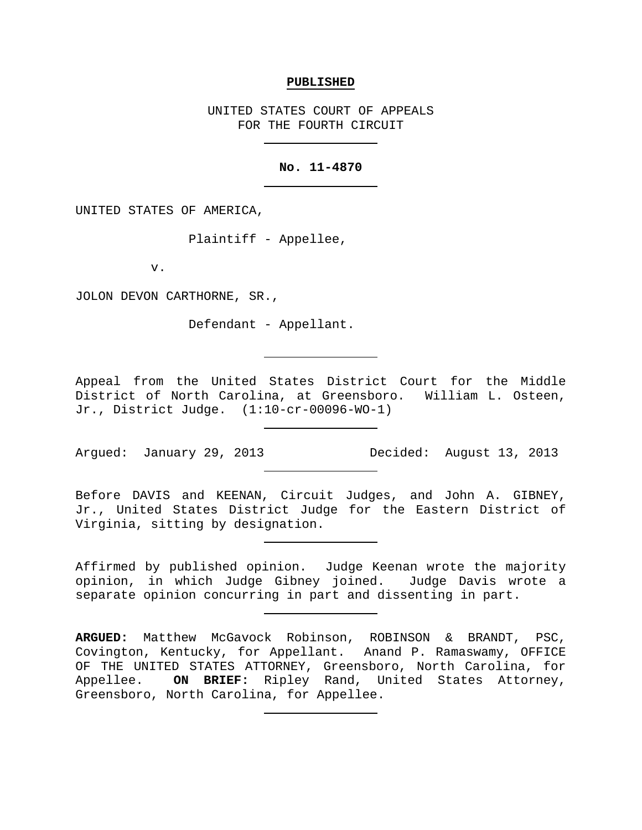### **PUBLISHED**

UNITED STATES COURT OF APPEALS FOR THE FOURTH CIRCUIT

# **No. 11-4870**

UNITED STATES OF AMERICA,

Plaintiff - Appellee,

v.

JOLON DEVON CARTHORNE, SR.,

Defendant - Appellant.

Appeal from the United States District Court for the Middle District of North Carolina, at Greensboro. William L. Osteen, Jr., District Judge. (1:10-cr-00096-WO-1)

Argued: January 29, 2013 Decided: August 13, 2013

Before DAVIS and KEENAN, Circuit Judges, and John A. GIBNEY, Jr., United States District Judge for the Eastern District of Virginia, sitting by designation.

Affirmed by published opinion. Judge Keenan wrote the majority opinion, in which Judge Gibney joined. Judge Davis wrote a separate opinion concurring in part and dissenting in part.

**ARGUED:** Matthew McGavock Robinson, ROBINSON & BRANDT, PSC, Covington, Kentucky, for Appellant. Anand P. Ramaswamy, OFFICE OF THE UNITED STATES ATTORNEY, Greensboro, North Carolina, for<br>Appellee. ON BRIEF: Ripley Rand, United States Attorney, ON BRIEF: Ripley Rand, United States Attorney, Greensboro, North Carolina, for Appellee.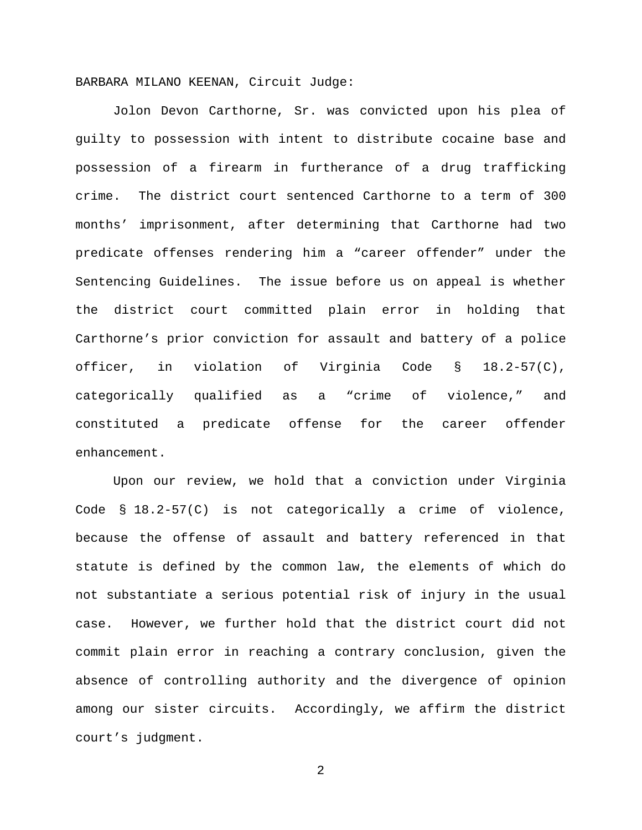BARBARA MILANO KEENAN, Circuit Judge:

Jolon Devon Carthorne, Sr. was convicted upon his plea of guilty to possession with intent to distribute cocaine base and possession of a firearm in furtherance of a drug trafficking crime. The district court sentenced Carthorne to a term of 300 months' imprisonment, after determining that Carthorne had two predicate offenses rendering him a "career offender" under the Sentencing Guidelines. The issue before us on appeal is whether the district court committed plain error in holding that Carthorne's prior conviction for assault and battery of a police officer, in violation of Virginia Code § 18.2-57(C), categorically qualified as a "crime of violence," and constituted a predicate offense for the career offender enhancement.

Upon our review, we hold that a conviction under Virginia Code § 18.2-57(C) is not categorically a crime of violence, because the offense of assault and battery referenced in that statute is defined by the common law, the elements of which do not substantiate a serious potential risk of injury in the usual case. However, we further hold that the district court did not commit plain error in reaching a contrary conclusion, given the absence of controlling authority and the divergence of opinion among our sister circuits. Accordingly, we affirm the district court's judgment.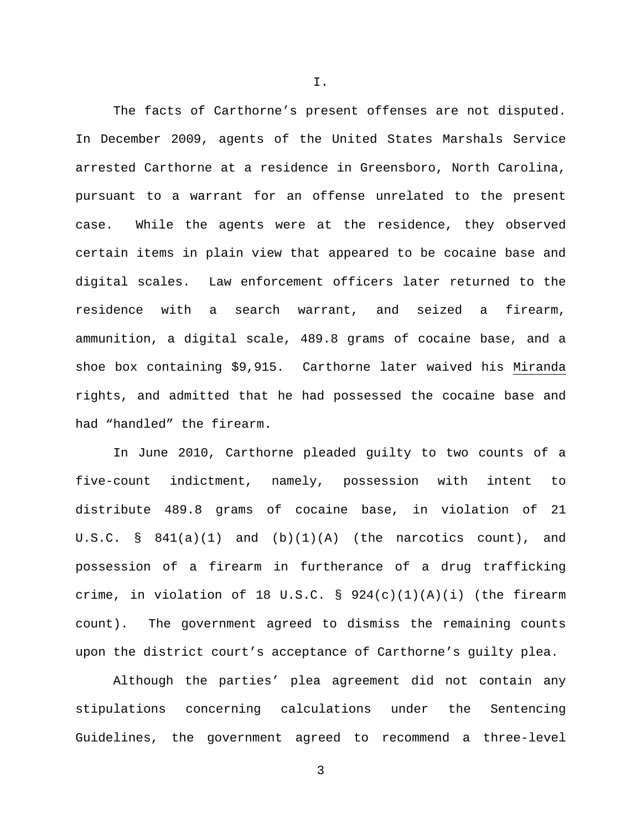The facts of Carthorne's present offenses are not disputed. In December 2009, agents of the United States Marshals Service arrested Carthorne at a residence in Greensboro, North Carolina, pursuant to a warrant for an offense unrelated to the present case. While the agents were at the residence, they observed certain items in plain view that appeared to be cocaine base and digital scales. Law enforcement officers later returned to the residence with a search warrant, and seized a firearm, ammunition, a digital scale, 489.8 grams of cocaine base, and a shoe box containing \$9,915. Carthorne later waived his Miranda rights, and admitted that he had possessed the cocaine base and had "handled" the firearm.

In June 2010, Carthorne pleaded guilty to two counts of a five-count indictment, namely, possession with intent to distribute 489.8 grams of cocaine base, in violation of 21 U.S.C.  $\S$  841(a)(1) and (b)(1)(A) (the narcotics count), and possession of a firearm in furtherance of a drug trafficking crime, in violation of 18 U.S.C.  $\S$  924(c)(1)(A)(i) (the firearm count). The government agreed to dismiss the remaining counts upon the district court's acceptance of Carthorne's guilty plea.

Although the parties' plea agreement did not contain any stipulations concerning calculations under the Sentencing Guidelines, the government agreed to recommend a three-level

3

I.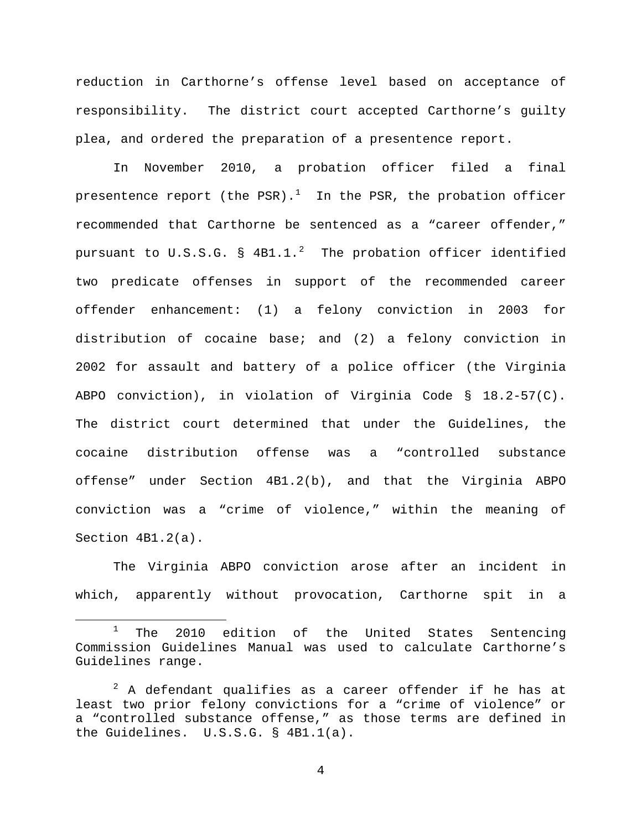reduction in Carthorne's offense level based on acceptance of responsibility. The district court accepted Carthorne's guilty plea, and ordered the preparation of a presentence report.

In November 2010, a probation officer filed a final presentence report (the PSR). $^1$  $^1$  In the PSR, the probation officer recommended that Carthorne be sentenced as a "career offender," pursuant to  $U.S.S.G.$   $\S$   $4B1.1.^2$  $4B1.1.^2$  The probation officer identified two predicate offenses in support of the recommended career offender enhancement: (1) a felony conviction in 2003 for distribution of cocaine base; and (2) a felony conviction in 2002 for assault and battery of a police officer (the Virginia ABPO conviction), in violation of Virginia Code § 18.2-57(C). The district court determined that under the Guidelines, the cocaine distribution offense was a "controlled substance offense" under Section 4B1.2(b), and that the Virginia ABPO conviction was a "crime of violence," within the meaning of Section 4B1.2(a).

The Virginia ABPO conviction arose after an incident in which, apparently without provocation, Carthorne spit in a

 $\overline{a}$ 

<span id="page-3-0"></span> $1$  The 2010 edition of the United States Sentencing Commission Guidelines Manual was used to calculate Carthorne's Guidelines range.

<span id="page-3-1"></span> $2$  A defendant qualifies as a career offender if he has at least two prior felony convictions for a "crime of violence" or a "controlled substance offense," as those terms are defined in the Guidelines. U.S.S.G. § 4B1.1(a).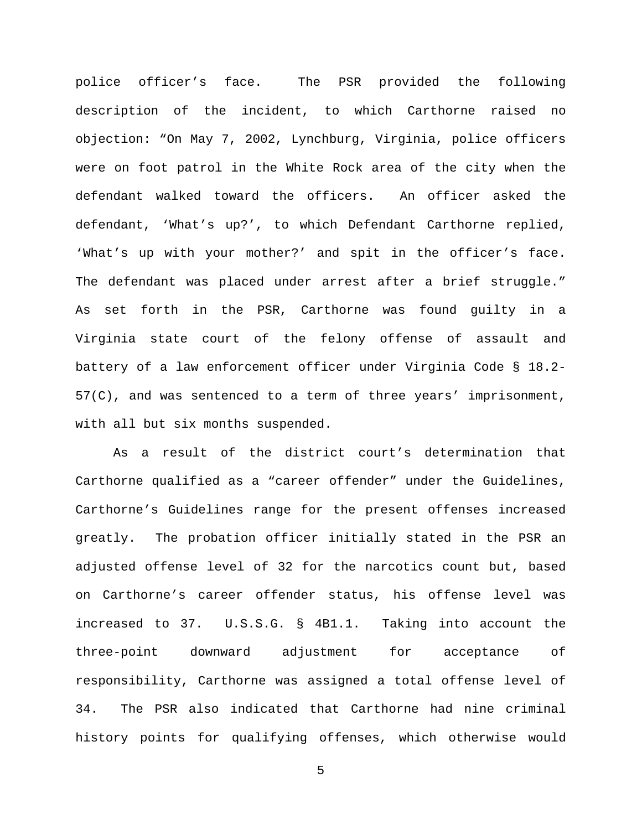police officer's face. The PSR provided the following description of the incident, to which Carthorne raised no objection: "On May 7, 2002, Lynchburg, Virginia, police officers were on foot patrol in the White Rock area of the city when the defendant walked toward the officers. An officer asked the defendant, 'What's up?', to which Defendant Carthorne replied, 'What's up with your mother?' and spit in the officer's face. The defendant was placed under arrest after a brief struggle." As set forth in the PSR, Carthorne was found guilty in a Virginia state court of the felony offense of assault and battery of a law enforcement officer under Virginia Code § 18.2- 57(C), and was sentenced to a term of three years' imprisonment, with all but six months suspended.

As a result of the district court's determination that Carthorne qualified as a "career offender" under the Guidelines, Carthorne's Guidelines range for the present offenses increased greatly. The probation officer initially stated in the PSR an adjusted offense level of 32 for the narcotics count but, based on Carthorne's career offender status, his offense level was increased to 37. U.S.S.G. § 4B1.1. Taking into account the three-point downward adjustment for acceptance of responsibility, Carthorne was assigned a total offense level of 34. The PSR also indicated that Carthorne had nine criminal history points for qualifying offenses, which otherwise would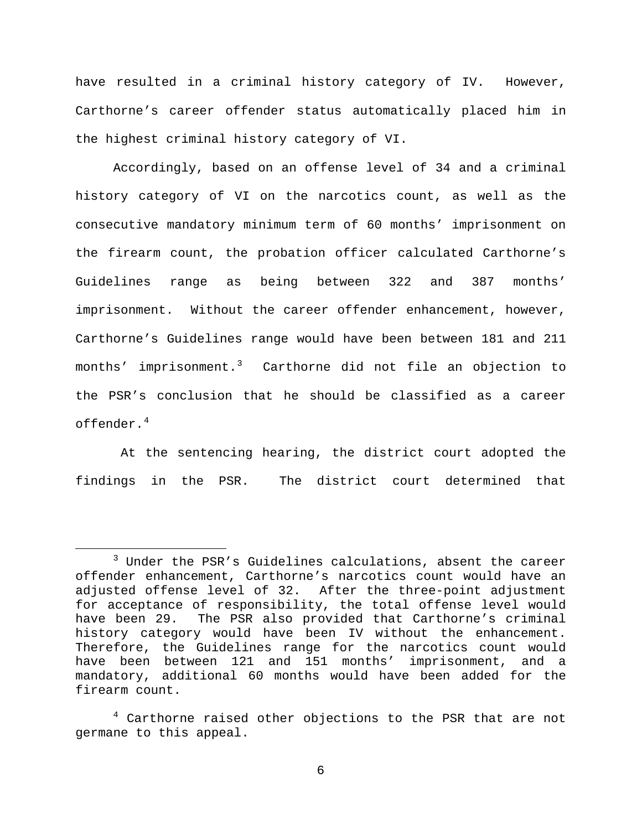have resulted in a criminal history category of IV. However, Carthorne's career offender status automatically placed him in the highest criminal history category of VI.

Accordingly, based on an offense level of 34 and a criminal history category of VI on the narcotics count, as well as the consecutive mandatory minimum term of 60 months' imprisonment on the firearm count, the probation officer calculated Carthorne's Guidelines range as being between 322 and 387 months' imprisonment. Without the career offender enhancement, however, Carthorne's Guidelines range would have been between 181 and 211 months' imprisonment.<sup>[3](#page-5-0)</sup> Carthorne did not file an objection to the PSR's conclusion that he should be classified as a career offender $4$ 

At the sentencing hearing, the district court adopted the findings in the PSR. The district court determined that

 $\overline{a}$ 

<span id="page-5-0"></span> <sup>3</sup> Under the PSR's Guidelines calculations, absent the career offender enhancement, Carthorne's narcotics count would have an adjusted offense level of 32. After the three-point adjustment for acceptance of responsibility, the total offense level would have been 29. The PSR also provided that Carthorne's criminal history category would have been IV without the enhancement. Therefore, the Guidelines range for the narcotics count would have been between 121 and 151 months' imprisonment, and a mandatory, additional 60 months would have been added for the firearm count.

<span id="page-5-1"></span><sup>&</sup>lt;sup>4</sup> Carthorne raised other objections to the PSR that are not germane to this appeal.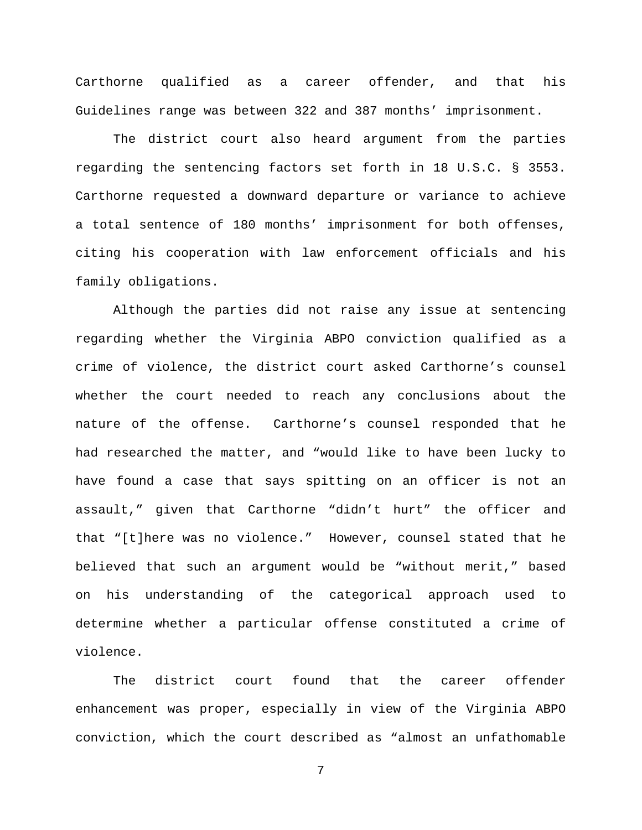Carthorne qualified as a career offender, and that his Guidelines range was between 322 and 387 months' imprisonment.

The district court also heard argument from the parties regarding the sentencing factors set forth in 18 U.S.C. § 3553. Carthorne requested a downward departure or variance to achieve a total sentence of 180 months' imprisonment for both offenses, citing his cooperation with law enforcement officials and his family obligations.

Although the parties did not raise any issue at sentencing regarding whether the Virginia ABPO conviction qualified as a crime of violence, the district court asked Carthorne's counsel whether the court needed to reach any conclusions about the nature of the offense. Carthorne's counsel responded that he had researched the matter, and "would like to have been lucky to have found a case that says spitting on an officer is not an assault," given that Carthorne "didn't hurt" the officer and that "[t]here was no violence." However, counsel stated that he believed that such an argument would be "without merit," based on his understanding of the categorical approach used to determine whether a particular offense constituted a crime of violence.

The district court found that the career offender enhancement was proper, especially in view of the Virginia ABPO conviction, which the court described as "almost an unfathomable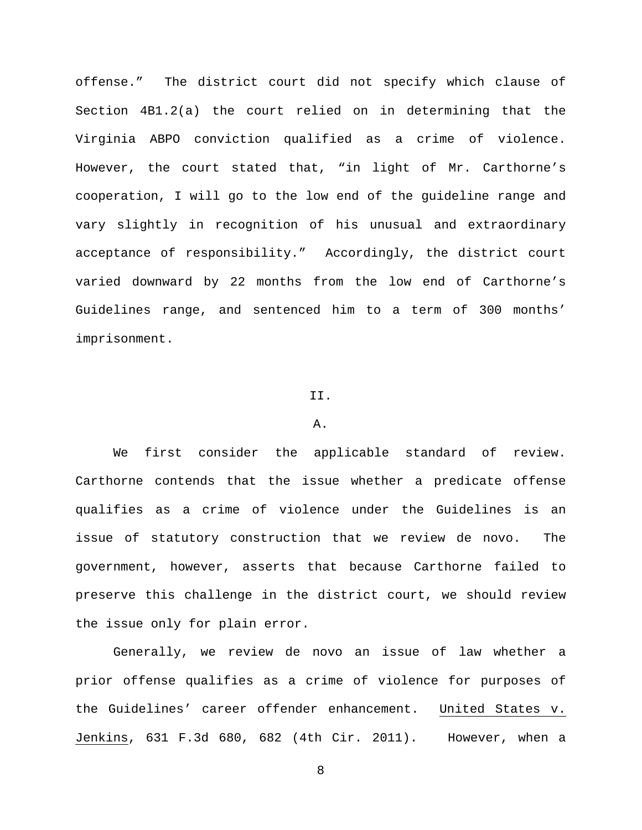offense." The district court did not specify which clause of Section 4B1.2(a) the court relied on in determining that the Virginia ABPO conviction qualified as a crime of violence. However, the court stated that, "in light of Mr. Carthorne's cooperation, I will go to the low end of the guideline range and vary slightly in recognition of his unusual and extraordinary acceptance of responsibility." Accordingly, the district court varied downward by 22 months from the low end of Carthorne's Guidelines range, and sentenced him to a term of 300 months' imprisonment.

## II.

### A.

We first consider the applicable standard of review. Carthorne contends that the issue whether a predicate offense qualifies as a crime of violence under the Guidelines is an issue of statutory construction that we review de novo. The government, however, asserts that because Carthorne failed to preserve this challenge in the district court, we should review the issue only for plain error.

Generally, we review de novo an issue of law whether a prior offense qualifies as a crime of violence for purposes of the Guidelines' career offender enhancement. United States v. Jenkins, 631 F.3d 680, 682 (4th Cir. 2011). However, when a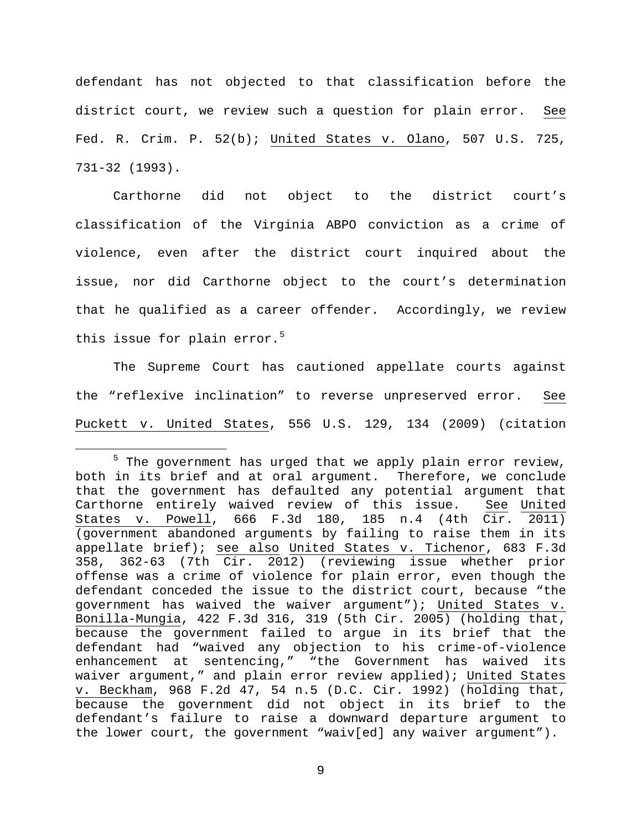defendant has not objected to that classification before the district court, we review such a question for plain error. See Fed. R. Crim. P. 52(b); United States v. Olano, 507 U.S. 725, 731-32 (1993).

Carthorne did not object to the district court's classification of the Virginia ABPO conviction as a crime of violence, even after the district court inquired about the issue, nor did Carthorne object to the court's determination that he qualified as a career offender. Accordingly, we review this issue for plain error.<sup>[5](#page-8-0)</sup>

The Supreme Court has cautioned appellate courts against the "reflexive inclination" to reverse unpreserved error. See Puckett v. United States, 556 U.S. 129, 134 (2009) (citation

<span id="page-8-0"></span><sup>&</sup>lt;sup>5</sup> The government has urged that we apply plain error review, both in its brief and at oral argument. Therefore, we conclude that the government has defaulted any potential argument that Carthorne entirely waived review of this issue. See United States v. Powell, 666 F.3d 180, 185 n.4 (4th Cir. 2011) (government abandoned arguments by failing to raise them in its appellate brief); see also United States v. Tichenor, 683 F.3d 358, 362-63 (7th Cir. 2012) (reviewing issue whether prior offense was a crime of violence for plain error, even though the defendant conceded the issue to the district court, because "the government has waived the waiver argument"); United States v. Bonilla-Mungia, 422 F.3d 316, 319 (5th Cir. 2005) (holding that, because the government failed to argue in its brief that the defendant had "waived any objection to his crime-of-violence enhancement at sentencing," "the Government has waived its waiver argument," and plain error review applied); United States v. Beckham, 968 F.2d 47, 54 n.5 (D.C. Cir. 1992) (holding that, because the government did not object in its brief to the defendant's failure to raise a downward departure argument to the lower court, the government "waiv[ed] any waiver argument").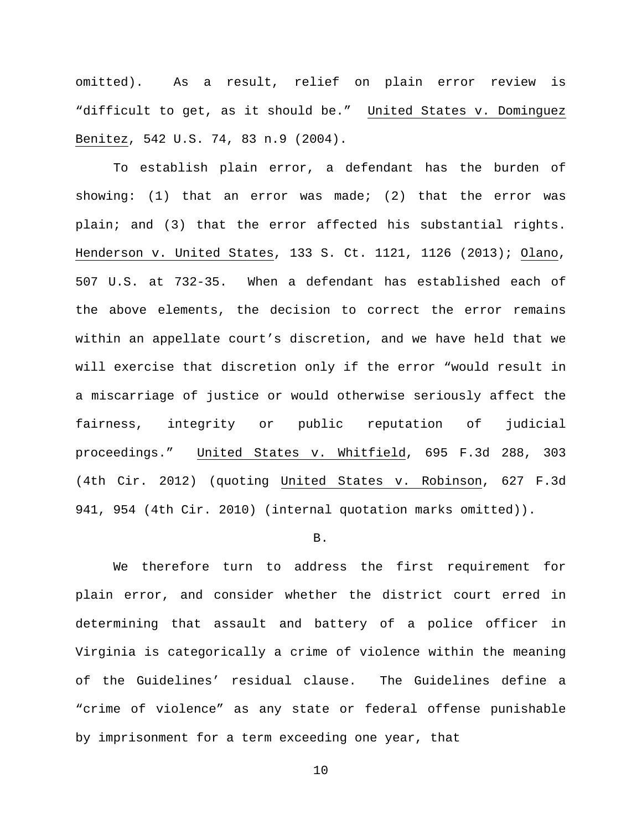omitted).As a result, relief on plain error review is "difficult to get, as it should be." United States v. Dominguez Benitez, 542 U.S. 74, 83 n.9 (2004).

To establish plain error, a defendant has the burden of showing: (1) that an error was made; (2) that the error was plain; and (3) that the error affected his substantial rights. Henderson v. United States, 133 S. Ct. 1121, 1126 (2013); Olano, 507 U.S. at 732-35. When a defendant has established each of the above elements, the decision to correct the error remains within an appellate court's discretion, and we have held that we will exercise that discretion only if the error "would result in a miscarriage of justice or would otherwise seriously affect the fairness, integrity or public reputation of judicial proceedings." United States v. Whitfield, 695 F.3d 288, 303 (4th Cir. 2012) (quoting United States v. Robinson, 627 F.3d 941, 954 (4th Cir. 2010) (internal quotation marks omitted)).

## B.

We therefore turn to address the first requirement for plain error, and consider whether the district court erred in determining that assault and battery of a police officer in Virginia is categorically a crime of violence within the meaning of the Guidelines' residual clause. The Guidelines define a "crime of violence" as any state or federal offense punishable by imprisonment for a term exceeding one year, that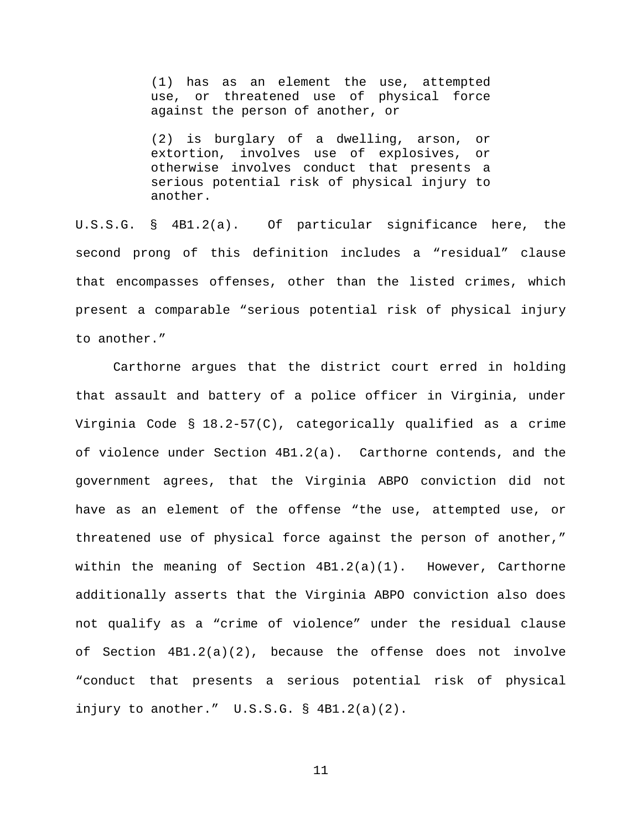(1) has as an element the use, attempted use, or threatened use of physical force against the person of another, or

(2) is burglary of a dwelling, arson, or extortion, involves use of explosives, or otherwise involves conduct that presents a serious potential risk of physical injury to another.

U.S.S.G. § 4B1.2(a). Of particular significance here, the second prong of this definition includes a "residual" clause that encompasses offenses, other than the listed crimes, which present a comparable "serious potential risk of physical injury to another."

Carthorne argues that the district court erred in holding that assault and battery of a police officer in Virginia, under Virginia Code § 18.2-57(C), categorically qualified as a crime of violence under Section 4B1.2(a). Carthorne contends, and the government agrees, that the Virginia ABPO conviction did not have as an element of the offense "the use, attempted use, or threatened use of physical force against the person of another," within the meaning of Section  $4B1.2(a)(1)$ . However, Carthorne additionally asserts that the Virginia ABPO conviction also does not qualify as a "crime of violence" under the residual clause of Section 4B1.2(a)(2), because the offense does not involve "conduct that presents a serious potential risk of physical injury to another." U.S.S.G. § 4B1.2(a)(2).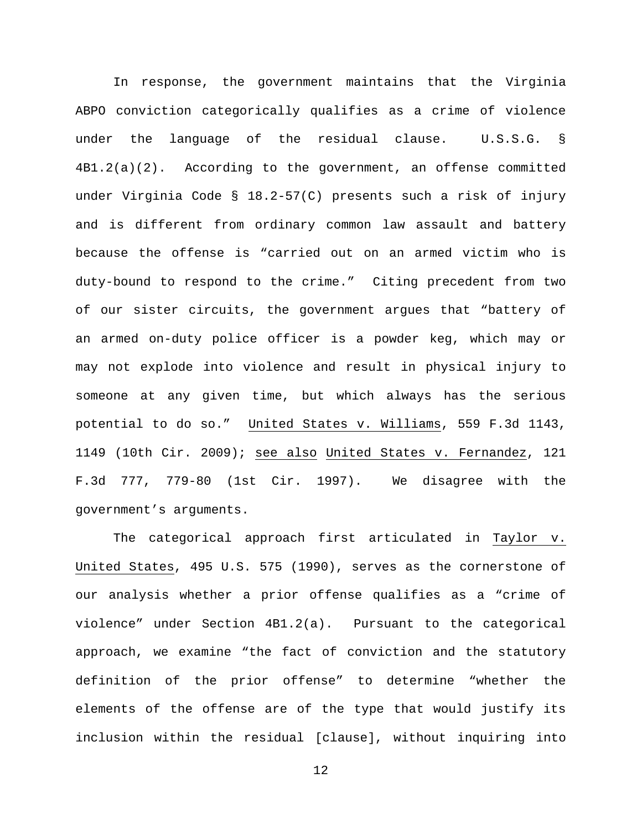In response, the government maintains that the Virginia ABPO conviction categorically qualifies as a crime of violence under the language of the residual clause. U.S.S.G. § 4B1.2(a)(2). According to the government, an offense committed under Virginia Code § 18.2-57(C) presents such a risk of injury and is different from ordinary common law assault and battery because the offense is "carried out on an armed victim who is duty-bound to respond to the crime." Citing precedent from two of our sister circuits, the government argues that "battery of an armed on-duty police officer is a powder keg, which may or may not explode into violence and result in physical injury to someone at any given time, but which always has the serious potential to do so." United States v. Williams, 559 F.3d 1143, 1149 (10th Cir. 2009); see also United States v. Fernandez, 121 F.3d 777, 779-80 (1st Cir. 1997). We disagree with the government's arguments.

The categorical approach first articulated in Taylor v. United States, 495 U.S. 575 (1990), serves as the cornerstone of our analysis whether a prior offense qualifies as a "crime of violence" under Section 4B1.2(a). Pursuant to the categorical approach, we examine "the fact of conviction and the statutory definition of the prior offense" to determine "whether the elements of the offense are of the type that would justify its inclusion within the residual [clause], without inquiring into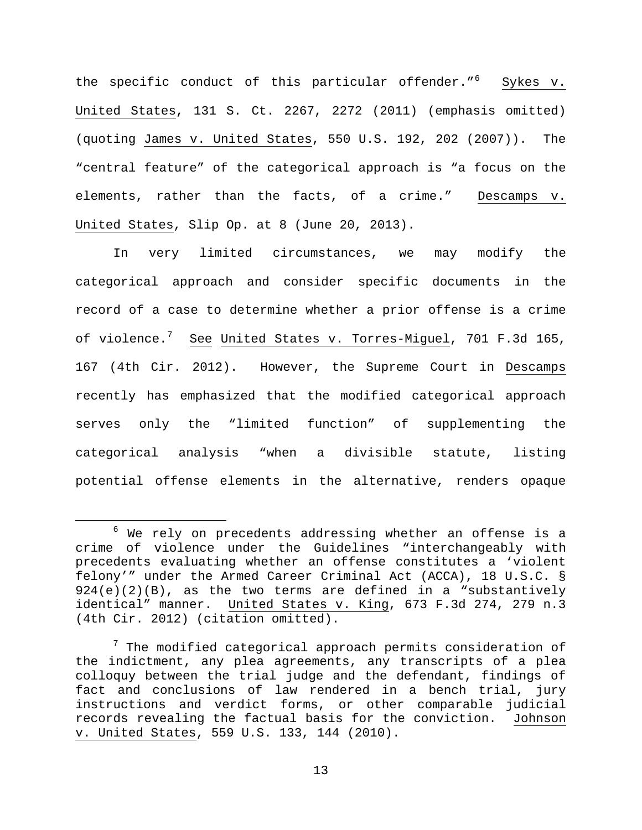the specific conduct of this particular offender."<sup>[6](#page-12-0)</sup> Sykes v. United States, 131 S. Ct. 2267, 2272 (2011) (emphasis omitted) (quoting James v. United States, 550 U.S. 192, 202 (2007)). The "central feature" of the categorical approach is "a focus on the elements, rather than the facts, of a crime." Descamps v. United States, Slip Op. at 8 (June 20, 2013).

In very limited circumstances, we may modify the categorical approach and consider specific documents in the record of a case to determine whether a prior offense is a crime of violence.<sup>[7](#page-12-1)</sup> <u>See</u> <u>United States v. Torres-Miguel</u>, 701 F.3d 165, 167 (4th Cir. 2012). However, the Supreme Court in Descamps recently has emphasized that the modified categorical approach serves only the "limited function" of supplementing the categorical analysis "when a divisible statute, listing potential offense elements in the alternative, renders opaque

<span id="page-12-0"></span> $6$  We rely on precedents addressing whether an offense is a crime of violence under the Guidelines "interchangeably with precedents evaluating whether an offense constitutes a 'violent felony'" under the Armed Career Criminal Act (ACCA), 18 U.S.C. §  $924(e)(2)(B)$ , as the two terms are defined in a "substantively identical" manner. United States v. King, 673 F.3d 274, 279 n.3 (4th Cir. 2012) (citation omitted).

<span id="page-12-1"></span> $7$  The modified categorical approach permits consideration of the indictment, any plea agreements, any transcripts of a plea colloquy between the trial judge and the defendant, findings of fact and conclusions of law rendered in a bench trial, jury instructions and verdict forms, or other comparable judicial records revealing the factual basis for the conviction. Johnson v. United States, 559 U.S. 133, 144 (2010).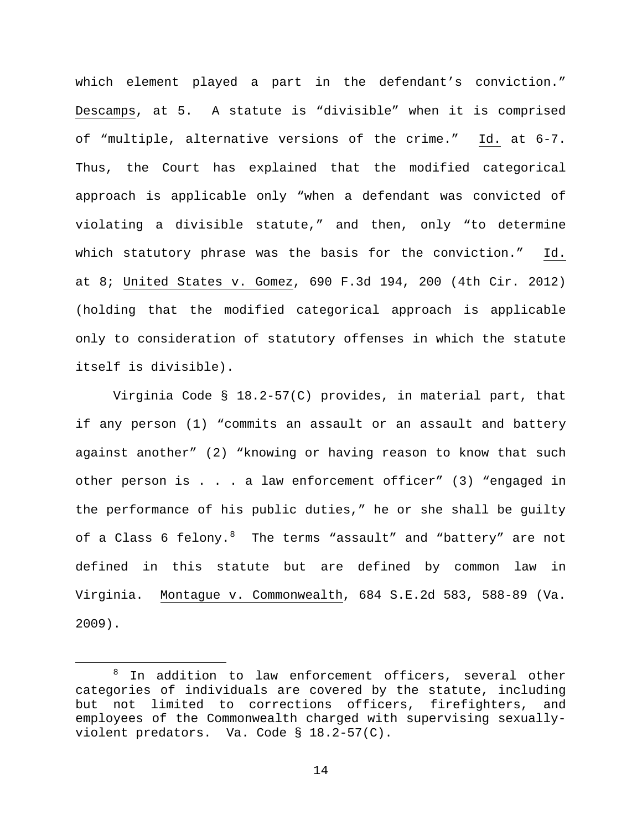which element played a part in the defendant's conviction." Descamps, at 5. A statute is "divisible" when it is comprised of "multiple, alternative versions of the crime." Id. at 6-7. Thus, the Court has explained that the modified categorical approach is applicable only "when a defendant was convicted of violating a divisible statute," and then, only "to determine which statutory phrase was the basis for the conviction." Id. at 8; United States v. Gomez, 690 F.3d 194, 200 (4th Cir. 2012) (holding that the modified categorical approach is applicable only to consideration of statutory offenses in which the statute itself is divisible).

Virginia Code § 18.2-57(C) provides, in material part, that if any person (1) "commits an assault or an assault and battery against another" (2) "knowing or having reason to know that such other person is . . . a law enforcement officer" (3) "engaged in the performance of his public duties," he or she shall be guilty of a Class 6 felony. $^8$  $^8$  The terms "assault" and "battery" are not defined in this statute but are defined by common law in Virginia. Montague v. Commonwealth, 684 S.E.2d 583, 588-89 (Va. 2009).

<span id="page-13-0"></span>In addition to law enforcement officers, several other categories of individuals are covered by the statute, including but not limited to corrections officers, firefighters, and employees of the Commonwealth charged with supervising sexuallyviolent predators. Va. Code § 18.2-57(C).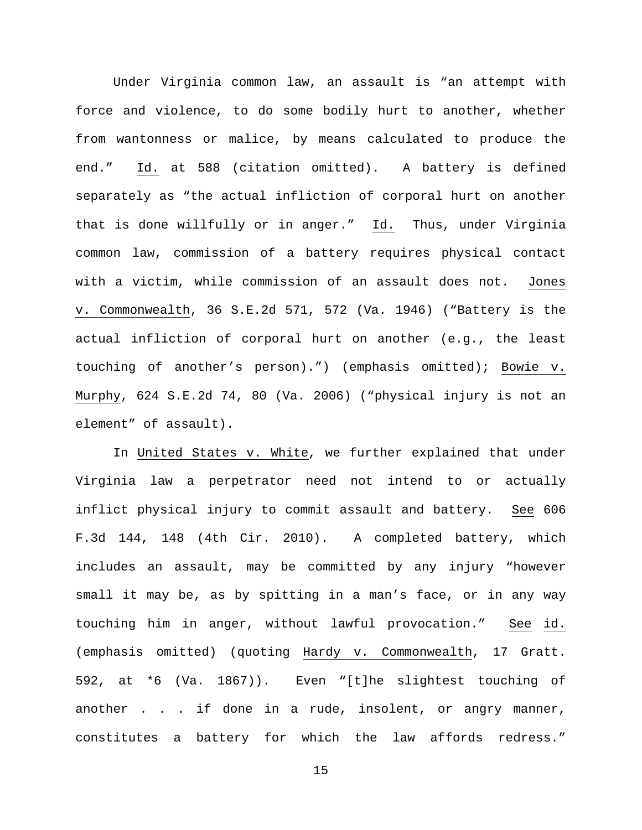Under Virginia common law, an assault is "an attempt with force and violence, to do some bodily hurt to another, whether from wantonness or malice, by means calculated to produce the end." Id. at 588 (citation omitted). A battery is defined separately as "the actual infliction of corporal hurt on another that is done willfully or in anger." Id. Thus, under Virginia common law, commission of a battery requires physical contact with a victim, while commission of an assault does not. Jones v. Commonwealth, 36 S.E.2d 571, 572 (Va. 1946) ("Battery is the actual infliction of corporal hurt on another (e.g., the least touching of another's person).") (emphasis omitted); Bowie v. Murphy, 624 S.E.2d 74, 80 (Va. 2006) ("physical injury is not an element" of assault).

In United States v. White, we further explained that under Virginia law a perpetrator need not intend to or actually inflict physical injury to commit assault and battery. See 606 F.3d 144, 148 (4th Cir. 2010). A completed battery, which includes an assault, may be committed by any injury "however small it may be, as by spitting in a man's face, or in any way touching him in anger, without lawful provocation." See id. (emphasis omitted) (quoting Hardy v. Commonwealth, 17 Gratt. 592, at \*6 (Va. 1867)). Even "[t]he slightest touching of another . . . if done in a rude, insolent, or angry manner, constitutes a battery for which the law affords redress."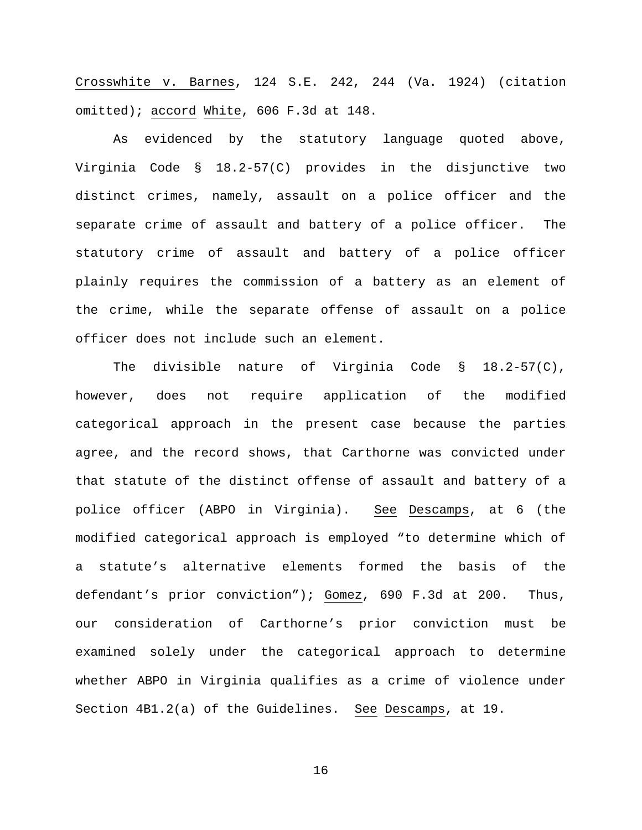Crosswhite v. Barnes, 124 S.E. 242, 244 (Va. 1924) (citation omitted); accord White, 606 F.3d at 148.

As evidenced by the statutory language quoted above, Virginia Code § 18.2-57(C) provides in the disjunctive two distinct crimes, namely, assault on a police officer and the separate crime of assault and battery of a police officer. The statutory crime of assault and battery of a police officer plainly requires the commission of a battery as an element of the crime, while the separate offense of assault on a police officer does not include such an element.

The divisible nature of Virginia Code § 18.2-57(C), however, does not require application of the modified categorical approach in the present case because the parties agree, and the record shows, that Carthorne was convicted under that statute of the distinct offense of assault and battery of a police officer (ABPO in Virginia). See Descamps, at 6 (the modified categorical approach is employed "to determine which of a statute's alternative elements formed the basis of the defendant's prior conviction"); Gomez, 690 F.3d at 200. Thus, our consideration of Carthorne's prior conviction must be examined solely under the categorical approach to determine whether ABPO in Virginia qualifies as a crime of violence under Section 4B1.2(a) of the Guidelines. See Descamps, at 19.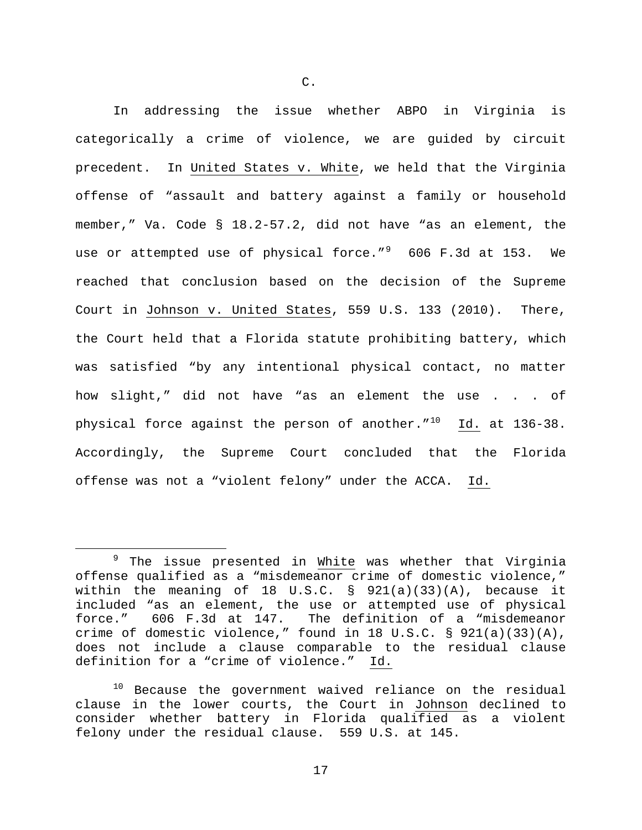In addressing the issue whether ABPO in Virginia is categorically a crime of violence, we are guided by circuit precedent. In United States v. White, we held that the Virginia offense of "assault and battery against a family or household member," Va. Code § 18.2-57.2, did not have "as an element, the use or attempted use of physical force." $^9$  $^9$  606 F.3d at 153. We reached that conclusion based on the decision of the Supreme Court in Johnson v. United States, 559 U.S. 133 (2010). There, the Court held that a Florida statute prohibiting battery, which was satisfied "by any intentional physical contact, no matter how slight," did not have "as an element the use . . . of physical force against the person of another. $1^{10}$  $1^{10}$  $1^{10}$  Id. at 136-38. Accordingly, the Supreme Court concluded that the Florida offense was not a "violent felony" under the ACCA. Id.

 $\overline{a}$ 

<span id="page-16-0"></span><sup>&</sup>lt;sup>9</sup> The issue presented in White was whether that Virginia offense qualified as a "misdemeanor crime of domestic violence," within the meaning of 18 U.S.C.  $\S$  921(a)(33)(A), because it included "as an element, the use or attempted use of physical<br>force." 606 F.3d at 147. The definition of a "misdemeanor 606 F.3d at 147. The definition of a "misdemeanor crime of domestic violence," found in 18 U.S.C. § 921(a)(33)(A), does not include a clause comparable to the residual clause definition for a "crime of violence." Id.

<span id="page-16-1"></span><sup>&</sup>lt;sup>10</sup> Because the government waived reliance on the residual clause in the lower courts, the Court in Johnson declined to consider whether battery in Florida qualified as a violent felony under the residual clause. 559 U.S. at 145.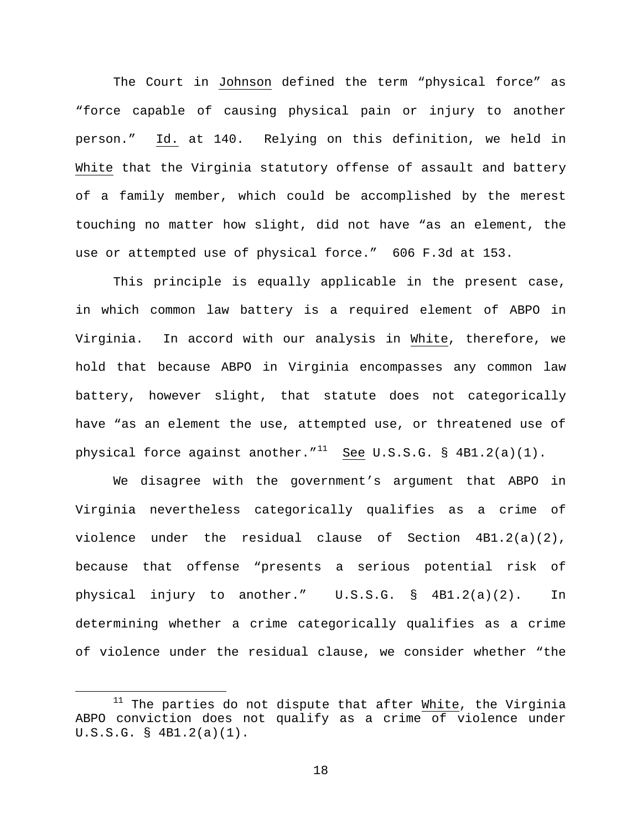The Court in Johnson defined the term "physical force" as "force capable of causing physical pain or injury to another person." Id. at 140. Relying on this definition, we held in White that the Virginia statutory offense of assault and battery of a family member, which could be accomplished by the merest touching no matter how slight, did not have "as an element, the use or attempted use of physical force." 606 F.3d at 153.

This principle is equally applicable in the present case, in which common law battery is a required element of ABPO in Virginia. In accord with our analysis in White, therefore, we hold that because ABPO in Virginia encompasses any common law battery, however slight, that statute does not categorically have "as an element the use, attempted use, or threatened use of physical force against another." $11$  See U.S.S.G. § 4B1.2(a)(1).

We disagree with the government's argument that ABPO in Virginia nevertheless categorically qualifies as a crime of violence under the residual clause of Section 4B1.2(a)(2), because that offense "presents a serious potential risk of physical injury to another." U.S.S.G. § 4B1.2(a)(2). In determining whether a crime categorically qualifies as a crime of violence under the residual clause, we consider whether "the

<span id="page-17-0"></span> $11$  The parties do not dispute that after White, the Virginia ABPO conviction does not qualify as a crime of violence under U.S.S.G. § 4B1.2(a)(1).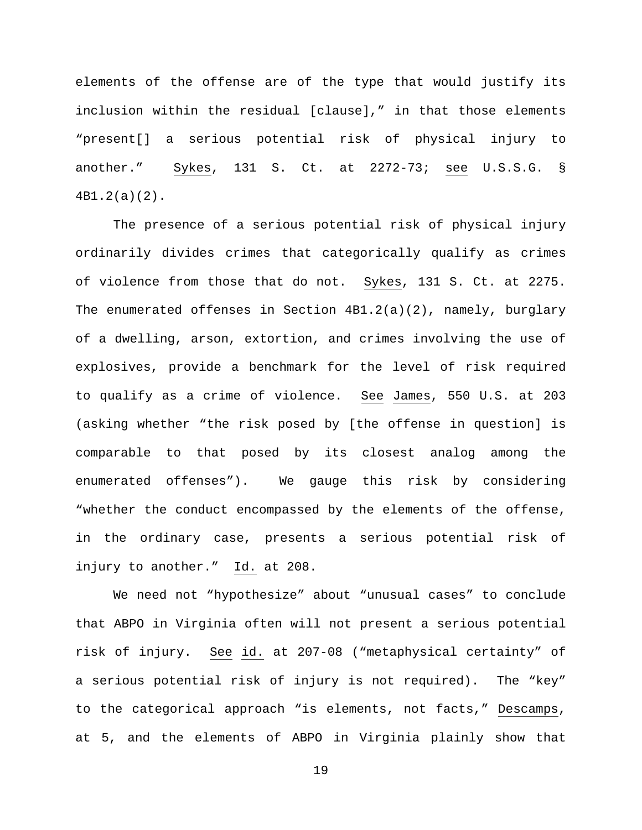elements of the offense are of the type that would justify its inclusion within the residual [clause]," in that those elements "present[] a serious potential risk of physical injury to another." Sykes, 131 S. Ct. at 2272-73; see U.S.S.G. § 4B1.2(a)(2).

The presence of a serious potential risk of physical injury ordinarily divides crimes that categorically qualify as crimes of violence from those that do not. Sykes, 131 S. Ct. at 2275. The enumerated offenses in Section 4B1.2(a)(2), namely, burglary of a dwelling, arson, extortion, and crimes involving the use of explosives, provide a benchmark for the level of risk required to qualify as a crime of violence. See James, 550 U.S. at 203 (asking whether "the risk posed by [the offense in question] is comparable to that posed by its closest analog among the enumerated offenses"). We gauge this risk by considering "whether the conduct encompassed by the elements of the offense, in the ordinary case, presents a serious potential risk of injury to another." Id. at 208.

We need not "hypothesize" about "unusual cases" to conclude that ABPO in Virginia often will not present a serious potential risk of injury. See id. at 207-08 ("metaphysical certainty" of a serious potential risk of injury is not required). The "key" to the categorical approach "is elements, not facts," Descamps, at 5, and the elements of ABPO in Virginia plainly show that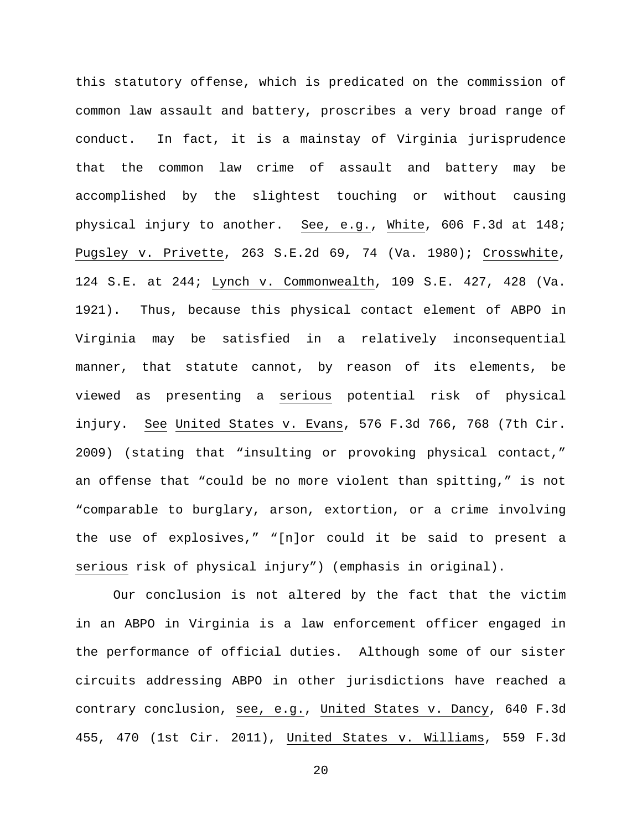this statutory offense, which is predicated on the commission of common law assault and battery, proscribes a very broad range of conduct. In fact, it is a mainstay of Virginia jurisprudence that the common law crime of assault and battery may be accomplished by the slightest touching or without causing physical injury to another. See, e.g., White, 606 F.3d at 148; Pugsley v. Privette, 263 S.E.2d 69, 74 (Va. 1980); Crosswhite, 124 S.E. at 244; Lynch v. Commonwealth, 109 S.E. 427, 428 (Va. 1921). Thus, because this physical contact element of ABPO in Virginia may be satisfied in a relatively inconsequential manner, that statute cannot, by reason of its elements, be viewed as presenting a serious potential risk of physical injury. See United States v. Evans, 576 F.3d 766, 768 (7th Cir. 2009) (stating that "insulting or provoking physical contact," an offense that "could be no more violent than spitting," is not "comparable to burglary, arson, extortion, or a crime involving the use of explosives," "[n]or could it be said to present a serious risk of physical injury") (emphasis in original).

Our conclusion is not altered by the fact that the victim in an ABPO in Virginia is a law enforcement officer engaged in the performance of official duties. Although some of our sister circuits addressing ABPO in other jurisdictions have reached a contrary conclusion, see, e.g., United States v. Dancy, 640 F.3d 455, 470 (1st Cir. 2011), United States v. Williams, 559 F.3d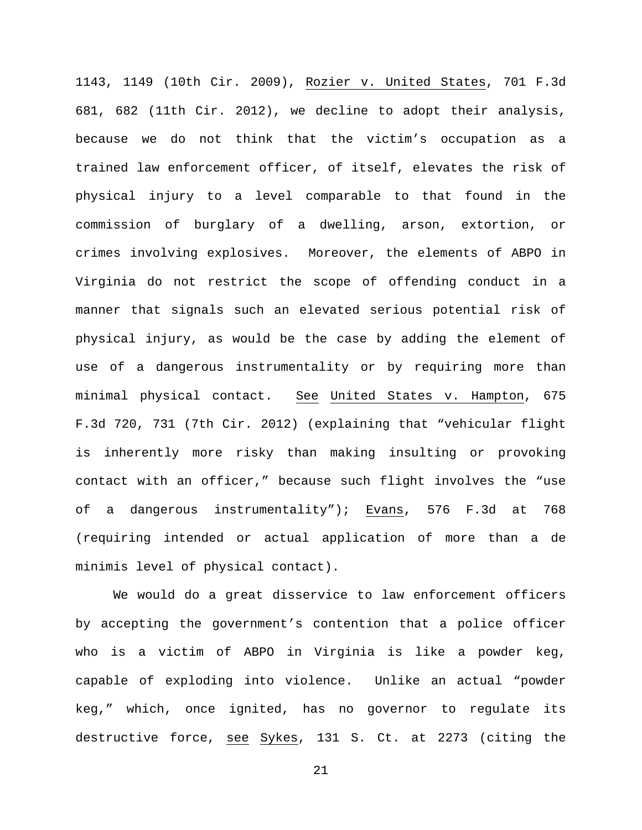1143, 1149 (10th Cir. 2009), Rozier v. United States, 701 F.3d 681, 682 (11th Cir. 2012), we decline to adopt their analysis, because we do not think that the victim's occupation as a trained law enforcement officer, of itself, elevates the risk of physical injury to a level comparable to that found in the commission of burglary of a dwelling, arson, extortion, or crimes involving explosives. Moreover, the elements of ABPO in Virginia do not restrict the scope of offending conduct in a manner that signals such an elevated serious potential risk of physical injury, as would be the case by adding the element of use of a dangerous instrumentality or by requiring more than minimal physical contact. See United States v. Hampton, 675 F.3d 720, 731 (7th Cir. 2012) (explaining that "vehicular flight is inherently more risky than making insulting or provoking contact with an officer," because such flight involves the "use of a dangerous instrumentality"); Evans, 576 F.3d at 768 (requiring intended or actual application of more than a de minimis level of physical contact).

We would do a great disservice to law enforcement officers by accepting the government's contention that a police officer who is a victim of ABPO in Virginia is like a powder keg, capable of exploding into violence. Unlike an actual "powder keg," which, once ignited, has no governor to regulate its destructive force, see Sykes, 131 S. Ct. at 2273 (citing the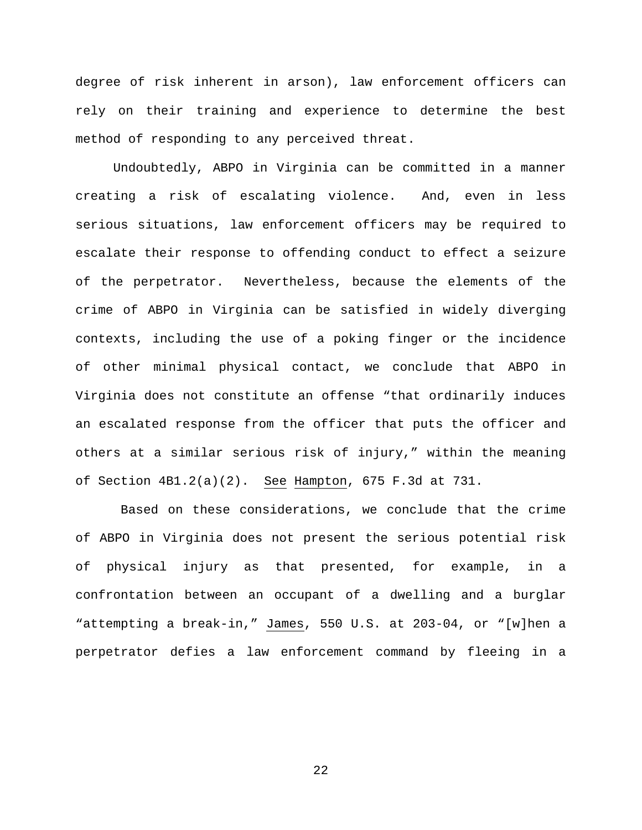degree of risk inherent in arson), law enforcement officers can rely on their training and experience to determine the best method of responding to any perceived threat.

Undoubtedly, ABPO in Virginia can be committed in a manner creating a risk of escalating violence. And, even in less serious situations, law enforcement officers may be required to escalate their response to offending conduct to effect a seizure of the perpetrator. Nevertheless, because the elements of the crime of ABPO in Virginia can be satisfied in widely diverging contexts, including the use of a poking finger or the incidence of other minimal physical contact, we conclude that ABPO in Virginia does not constitute an offense "that ordinarily induces an escalated response from the officer that puts the officer and others at a similar serious risk of injury," within the meaning of Section 4B1.2(a)(2). See Hampton, 675 F.3d at 731.

Based on these considerations, we conclude that the crime of ABPO in Virginia does not present the serious potential risk of physical injury as that presented, for example, in a confrontation between an occupant of a dwelling and a burglar "attempting a break-in," James, 550 U.S. at 203-04, or "[w]hen a perpetrator defies a law enforcement command by fleeing in a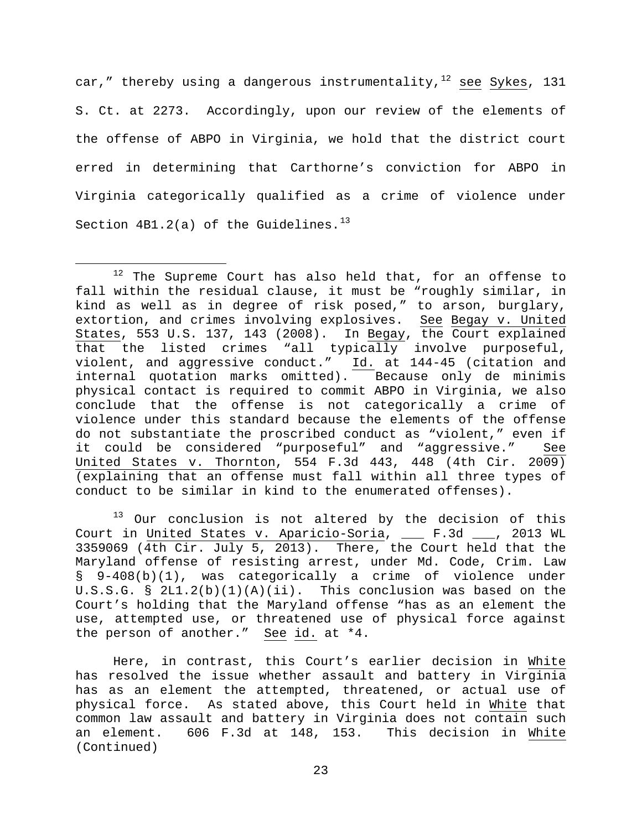car," thereby using a dangerous instrumentality, $12$  see Sykes, 131 S. Ct. at 2273. Accordingly, upon our review of the elements of the offense of ABPO in Virginia, we hold that the district court erred in determining that Carthorne's conviction for ABPO in Virginia categorically qualified as a crime of violence under Section  $4B1.2(a)$  of the Guidelines.<sup>[13](#page-22-1)</sup>

<span id="page-22-1"></span> $\overline{a}$ <sup>13</sup> Our conclusion is not altered by the decision of this Court in United States v. Aparicio-Soria, \_\_\_ F.3d \_\_\_, 2013 WL 3359069 (4th Cir. July 5, 2013). There, the Court held that the Maryland offense of resisting arrest, under Md. Code, Crim. Law § 9-408(b)(1), was categorically a crime of violence under U.S.S.G. § 2L1.2(b)(1)(A)(ii). This conclusion was based on the Court's holding that the Maryland offense "has as an element the use, attempted use, or threatened use of physical force against the person of another." See id. at \*4.

Here, in contrast, this Court's earlier decision in White has resolved the issue whether assault and battery in Virginia has as an element the attempted, threatened, or actual use of physical force. As stated above, this Court held in White that common law assault and battery in Virginia does not contain such an element. 606 F.3d at 148, 153. This decision in White (Continued)

<span id="page-22-0"></span> $12$  The Supreme Court has also held that, for an offense to fall within the residual clause, it must be "roughly similar, in kind as well as in degree of risk posed," to arson, burglary, extortion, and crimes involving explosives. See Begay v. United States, 553 U.S. 137, 143 (2008). In Begay, the Court explained that the listed crimes "all typically involve purposeful, violent, and aggressive conduct." Id. at 144-45 (citation and internal quotation marks omitted). Because only de minimis physical contact is required to commit ABPO in Virginia, we also conclude that the offense is not categorically a crime of violence under this standard because the elements of the offense do not substantiate the proscribed conduct as "violent," even if it could be considered "purposeful" and "aggressive." See United States v. Thornton, 554 F.3d 443, 448 (4th Cir. 2009) (explaining that an offense must fall within all three types of conduct to be similar in kind to the enumerated offenses).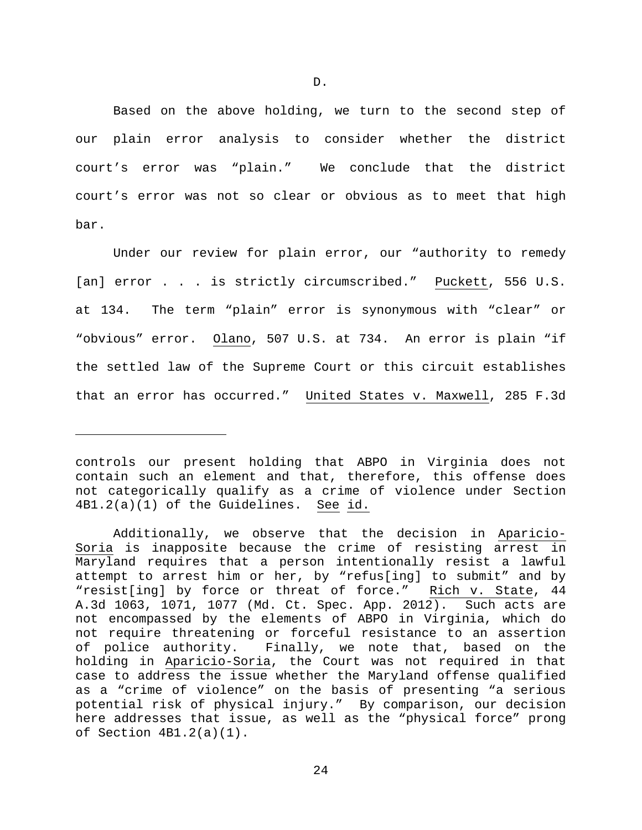Based on the above holding, we turn to the second step of our plain error analysis to consider whether the district court's error was "plain." We conclude that the district court's error was not so clear or obvious as to meet that high bar.

Under our review for plain error, our "authority to remedy [an] error . . . is strictly circumscribed." Puckett, 556 U.S. at 134. The term "plain" error is synonymous with "clear" or "obvious" error. Olano, 507 U.S. at 734. An error is plain "if the settled law of the Supreme Court or this circuit establishes that an error has occurred." United States v. Maxwell, 285 F.3d

Ĩ.

controls our present holding that ABPO in Virginia does not contain such an element and that, therefore, this offense does not categorically qualify as a crime of violence under Section 4B1.2(a)(1) of the Guidelines. See id.

Additionally, we observe that the decision in Aparicio-Soria is inapposite because the crime of resisting arrest in Maryland requires that a person intentionally resist a lawful attempt to arrest him or her, by "refus[ing] to submit" and by "resist[ing] by force or threat of force." Rich v. State, 44 A.3d 1063, 1071, 1077 (Md. Ct. Spec. App. 2012). Such acts are not encompassed by the elements of ABPO in Virginia, which do not require threatening or forceful resistance to an assertion of police authority. Finally, we note that, based on the holding in Aparicio-Soria, the Court was not required in that case to address the issue whether the Maryland offense qualified as a "crime of violence" on the basis of presenting "a serious potential risk of physical injury." By comparison, our decision here addresses that issue, as well as the "physical force" prong of Section 4B1.2(a)(1).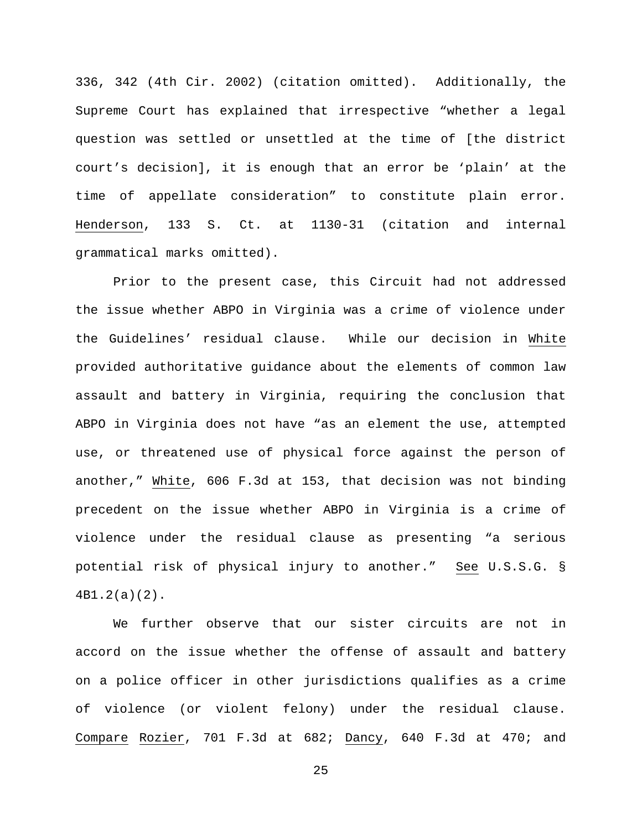336, 342 (4th Cir. 2002) (citation omitted). Additionally, the Supreme Court has explained that irrespective "whether a legal question was settled or unsettled at the time of [the district court's decision], it is enough that an error be 'plain' at the time of appellate consideration" to constitute plain error. Henderson, 133 S. Ct. at 1130-31 (citation and internal grammatical marks omitted).

Prior to the present case, this Circuit had not addressed the issue whether ABPO in Virginia was a crime of violence under the Guidelines' residual clause. While our decision in White provided authoritative guidance about the elements of common law assault and battery in Virginia, requiring the conclusion that ABPO in Virginia does not have "as an element the use, attempted use, or threatened use of physical force against the person of another," White, 606 F.3d at 153, that decision was not binding precedent on the issue whether ABPO in Virginia is a crime of violence under the residual clause as presenting "a serious potential risk of physical injury to another." See U.S.S.G. § 4B1.2(a)(2).

We further observe that our sister circuits are not in accord on the issue whether the offense of assault and battery on a police officer in other jurisdictions qualifies as a crime of violence (or violent felony) under the residual clause. Compare Rozier, 701 F.3d at 682; Dancy, 640 F.3d at 470; and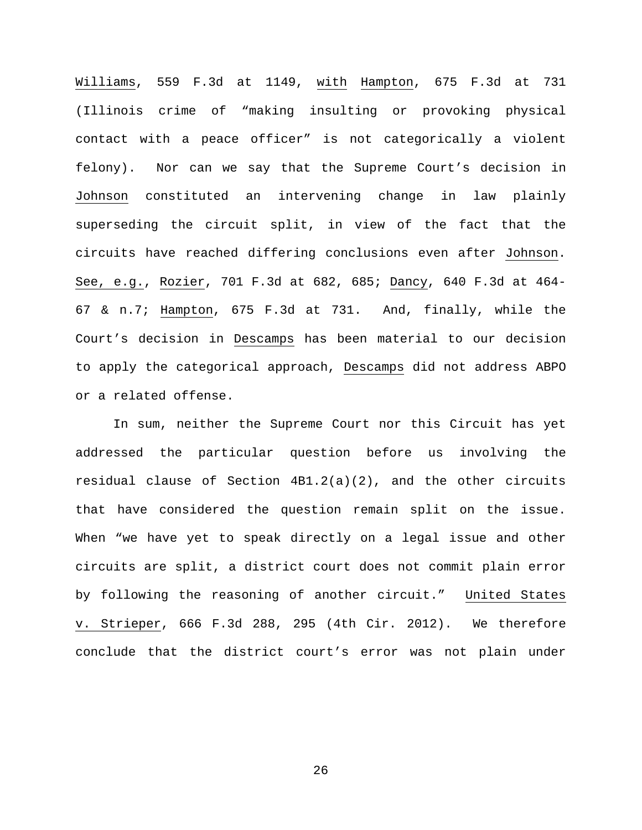Williams, 559 F.3d at 1149, with Hampton, 675 F.3d at 731 (Illinois crime of "making insulting or provoking physical contact with a peace officer" is not categorically a violent felony). Nor can we say that the Supreme Court's decision in Johnson constituted an intervening change in law plainly superseding the circuit split, in view of the fact that the circuits have reached differing conclusions even after Johnson. See, e.g., Rozier, 701 F.3d at 682, 685; Dancy, 640 F.3d at 464- 67 & n.7; Hampton, 675 F.3d at 731. And, finally, while the Court's decision in Descamps has been material to our decision to apply the categorical approach, Descamps did not address ABPO or a related offense.

In sum, neither the Supreme Court nor this Circuit has yet addressed the particular question before us involving the residual clause of Section 4B1.2(a)(2), and the other circuits that have considered the question remain split on the issue. When "we have yet to speak directly on a legal issue and other circuits are split, a district court does not commit plain error by following the reasoning of another circuit." United States v. Strieper, 666 F.3d 288, 295 (4th Cir. 2012). We therefore conclude that the district court's error was not plain under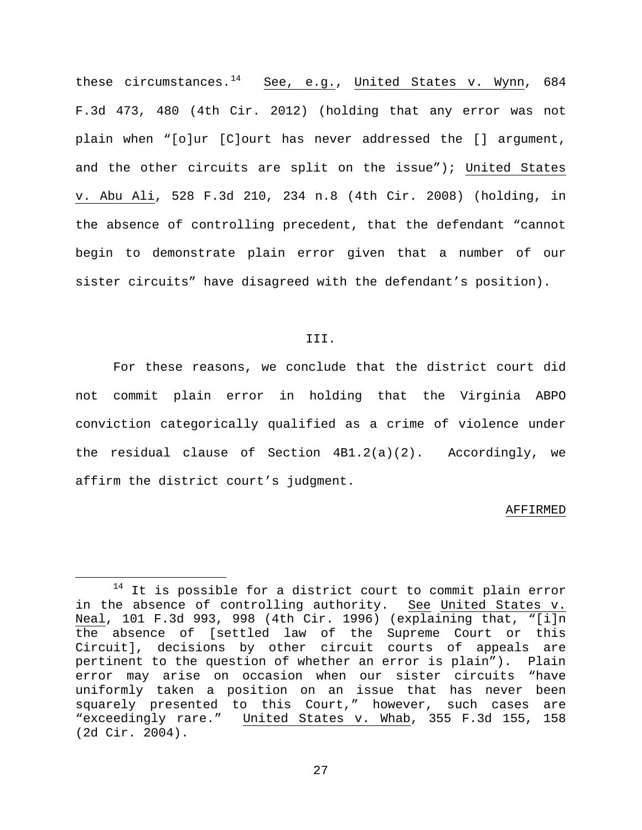these circumstances.<sup>[14](#page-26-0)</sup> See, e.g., United States v. Wynn, 684 F.3d 473, 480 (4th Cir. 2012) (holding that any error was not plain when "[o]ur [C]ourt has never addressed the [] argument, and the other circuits are split on the issue"); United States v. Abu Ali, 528 F.3d 210, 234 n.8 (4th Cir. 2008) (holding, in the absence of controlling precedent, that the defendant "cannot begin to demonstrate plain error given that a number of our sister circuits" have disagreed with the defendant's position).

# III.

For these reasons, we conclude that the district court did not commit plain error in holding that the Virginia ABPO conviction categorically qualified as a crime of violence under the residual clause of Section 4B1.2(a)(2). Accordingly, we affirm the district court's judgment.

#### AFFIRMED

<span id="page-26-0"></span> $14$  It is possible for a district court to commit plain error in the absence of controlling authority. See United States v. Neal, 101 F.3d 993, 998 (4th Cir. 1996) (explaining that, "[i]n the absence of [settled law of the Supreme Court or this Circuit], decisions by other circuit courts of appeals are pertinent to the question of whether an error is plain"). Plain error may arise on occasion when our sister circuits "have uniformly taken a position on an issue that has never been squarely presented to this Court," however, such cases are "exceedingly rare." United States v. Whab, 355 F.3d 155, 158 (2d Cir. 2004).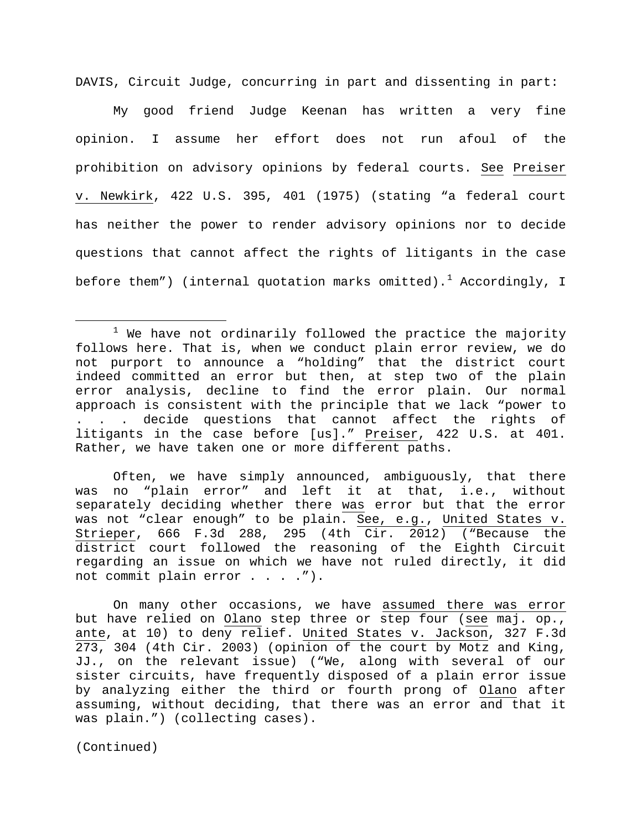DAVIS, Circuit Judge, concurring in part and dissenting in part:

My good friend Judge Keenan has written a very fine opinion. I assume her effort does not run afoul of the prohibition on advisory opinions by federal courts. See Preiser v. Newkirk, 422 U.S. 395, 401 (1975) (stating "a federal court has neither the power to render advisory opinions nor to decide questions that cannot affect the rights of litigants in the case before them") (internal quotation marks omitted).<sup>[1](#page-27-0)</sup> Accordingly, I

Often, we have simply announced, ambiguously, that there was no "plain error" and left it at that, i.e., without separately deciding whether there was error but that the error was not "clear enough" to be plain. See, e.g., United States v. Strieper, 666 F.3d 288, 295 (4th Cir. 2012) ("Because the district court followed the reasoning of the Eighth Circuit regarding an issue on which we have not ruled directly, it did not commit plain error . . . . ").

On many other occasions, we have assumed there was error but have relied on Olano step three or step four (see maj. op., ante, at 10) to deny relief. United States v. Jackson, 327 F.3d 273, 304 (4th Cir. 2003) (opinion of the court by Motz and King, JJ., on the relevant issue) ("We, along with several of our sister circuits, have frequently disposed of a plain error issue by analyzing either the third or fourth prong of Olano after assuming, without deciding, that there was an error and that it was plain.") (collecting cases).

(Continued)

<span id="page-27-0"></span> $1$  We have not ordinarily followed the practice the majority follows here. That is, when we conduct plain error review, we do not purport to announce a "holding" that the district court indeed committed an error but then, at step two of the plain error analysis, decline to find the error plain. Our normal approach is consistent with the principle that we lack "power to . . . decide questions that cannot affect the rights of litigants in the case before [us]." Preiser, 422 U.S. at 401. Rather, we have taken one or more different paths.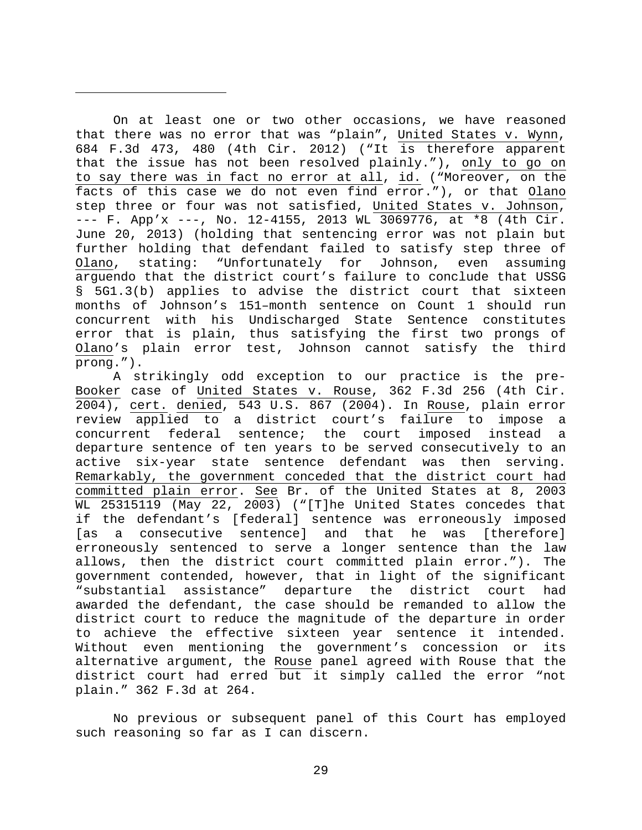On at least one or two other occasions, we have reasoned that there was no error that was "plain", United States v. Wynn, 684 F.3d 473, 480 (4th Cir. 2012) ("It is therefore apparent that the issue has not been resolved plainly."), only to go on to say there was in fact no error at all, id. ("Moreover, on the facts of this case we do not even find error."), or that Olano step three or four was not satisfied, United States v. Johnson, --- F. App'x ---, No. 12-4155, 2013 WL 3069776, at \*8 (4th Cir. June 20, 2013) (holding that sentencing error was not plain but further holding that defendant failed to satisfy step three of Olano, stating: "Unfortunately for Johnson, even assuming arguendo that the district court's failure to conclude that USSG § 5G1.3(b) applies to advise the district court that sixteen months of Johnson's 151–month sentence on Count 1 should run concurrent with his Undischarged State Sentence constitutes error that is plain, thus satisfying the first two prongs of Olano's plain error test, Johnson cannot satisfy the third prong.").

Ĩ.

A strikingly odd exception to our practice is the pre-Booker case of United States v. Rouse, 362 F.3d 256 (4th Cir. 2004), cert. denied, 543 U.S. 867 (2004). In Rouse, plain error review applied to a district court's failure to impose a concurrent federal sentence; the court imposed instead a departure sentence of ten years to be served consecutively to an active six-year state sentence defendant was then serving. Remarkably, the government conceded that the district court had committed plain error. See Br. of the United States at 8, 2003 WL 25315119 (May 22, 2003) ("[T]he United States concedes that if the defendant's [federal] sentence was erroneously imposed [as a consecutive sentence] and that he was [therefore] erroneously sentenced to serve a longer sentence than the law allows, then the district court committed plain error."). The government contended, however, that in light of the significant<br>"substantial assistance" departure the district court had assistance" departure the district court had awarded the defendant, the case should be remanded to allow the district court to reduce the magnitude of the departure in order to achieve the effective sixteen year sentence it intended. Without even mentioning the government's concession or its alternative argument, the Rouse panel agreed with Rouse that the district court had erred but it simply called the error "not plain." 362 F.3d at 264.

No previous or subsequent panel of this Court has employed such reasoning so far as I can discern.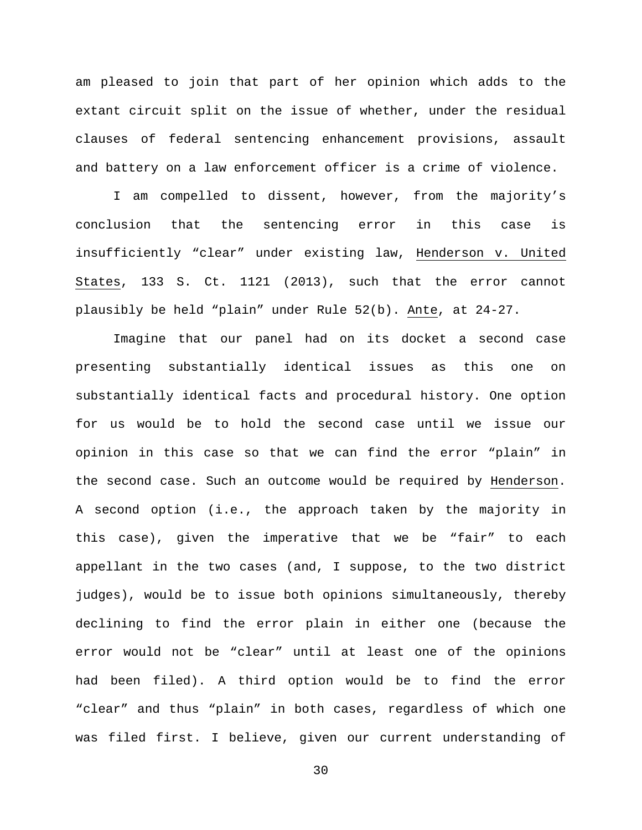am pleased to join that part of her opinion which adds to the extant circuit split on the issue of whether, under the residual clauses of federal sentencing enhancement provisions, assault and battery on a law enforcement officer is a crime of violence.

I am compelled to dissent, however, from the majority's conclusion that the sentencing error in this case is insufficiently "clear" under existing law, Henderson v. United States, 133 S. Ct. 1121 (2013), such that the error cannot plausibly be held "plain" under Rule 52(b). Ante, at 24-27.

Imagine that our panel had on its docket a second case presenting substantially identical issues as this one on substantially identical facts and procedural history. One option for us would be to hold the second case until we issue our opinion in this case so that we can find the error "plain" in the second case. Such an outcome would be required by Henderson. A second option (i.e., the approach taken by the majority in this case), given the imperative that we be "fair" to each appellant in the two cases (and, I suppose, to the two district judges), would be to issue both opinions simultaneously, thereby declining to find the error plain in either one (because the error would not be "clear" until at least one of the opinions had been filed). A third option would be to find the error "clear" and thus "plain" in both cases, regardless of which one was filed first. I believe, given our current understanding of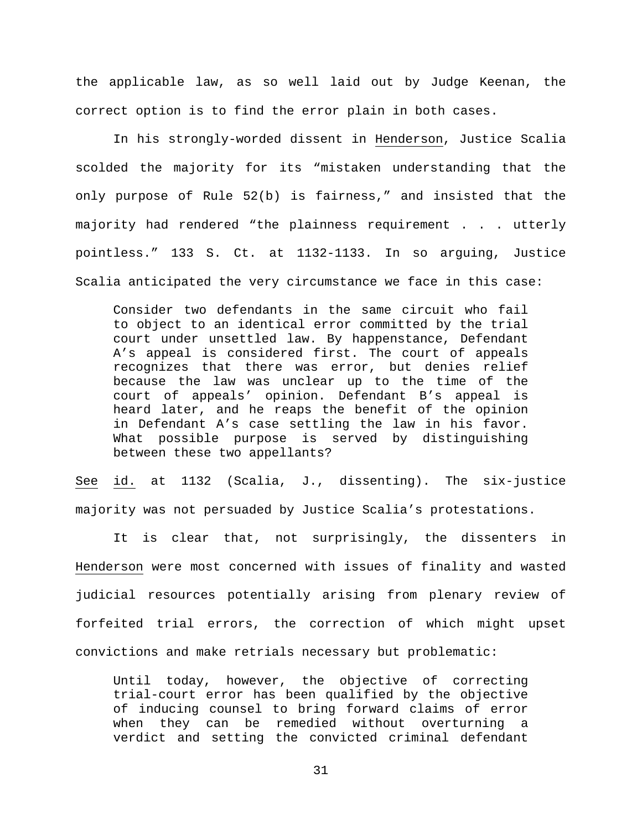the applicable law, as so well laid out by Judge Keenan, the correct option is to find the error plain in both cases.

In his strongly-worded dissent in Henderson, Justice Scalia scolded the majority for its "mistaken understanding that the only purpose of Rule 52(b) is fairness," and insisted that the majority had rendered "the plainness requirement . . . utterly pointless." 133 S. Ct. at 1132-1133. In so arguing, Justice Scalia anticipated the very circumstance we face in this case:

Consider two defendants in the same circuit who fail to object to an identical error committed by the trial court under unsettled law. By happenstance, Defendant A's appeal is considered first. The court of appeals recognizes that there was error, but denies relief because the law was unclear up to the time of the court of appeals' opinion. Defendant B's appeal is heard later, and he reaps the benefit of the opinion in Defendant A's case settling the law in his favor. What possible purpose is served by distinguishing between these two appellants?

See id. at 1132 (Scalia, J., dissenting). The six-justice majority was not persuaded by Justice Scalia's protestations.

It is clear that, not surprisingly, the dissenters in Henderson were most concerned with issues of finality and wasted judicial resources potentially arising from plenary review of forfeited trial errors, the correction of which might upset convictions and make retrials necessary but problematic:

Until today, however, the objective of correcting trial-court error has been qualified by the objective of inducing counsel to bring forward claims of error when they can be remedied without overturning a verdict and setting the convicted criminal defendant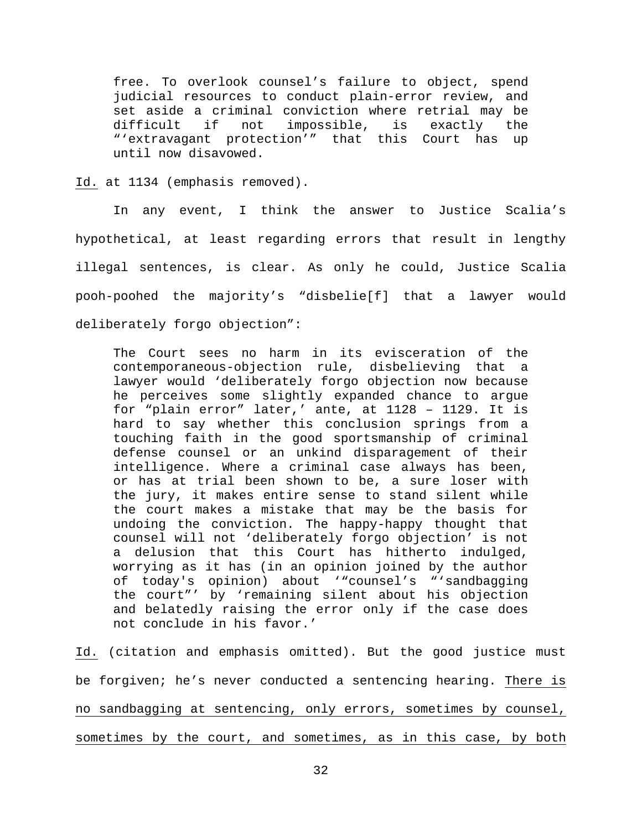free. To overlook counsel's failure to object, spend judicial resources to conduct plain-error review, and set aside a criminal conviction where retrial may be<br>difficult if not impossible, is exactly the not impossible, is exactly the "'extravagant protection'" that this Court has up until now disavowed.

Id. at 1134 (emphasis removed).

In any event, I think the answer to Justice Scalia's hypothetical, at least regarding errors that result in lengthy illegal sentences, is clear. As only he could, Justice Scalia pooh-poohed the majority's "disbelie[f] that a lawyer would deliberately forgo objection":

The Court sees no harm in its evisceration of the contemporaneous-objection rule, disbelieving that a lawyer would 'deliberately forgo objection now because he perceives some slightly expanded chance to argue for "plain error" later,' ante, at 1128 – 1129. It is hard to say whether this conclusion springs from a touching faith in the good sportsmanship of criminal defense counsel or an unkind disparagement of their intelligence. Where a criminal case always has been, or has at trial been shown to be, a sure loser with the jury, it makes entire sense to stand silent while the court makes a mistake that may be the basis for undoing the conviction. The happy-happy thought that counsel will not 'deliberately forgo objection' is not a delusion that this Court has hitherto indulged, worrying as it has (in an opinion joined by the author of today's opinion) about '"counsel's "'sandbagging the court"' by 'remaining silent about his objection and belatedly raising the error only if the case does not conclude in his favor.'

Id. (citation and emphasis omitted). But the good justice must be forgiven; he's never conducted a sentencing hearing. There is no sandbagging at sentencing, only errors, sometimes by counsel, sometimes by the court, and sometimes, as in this case, by both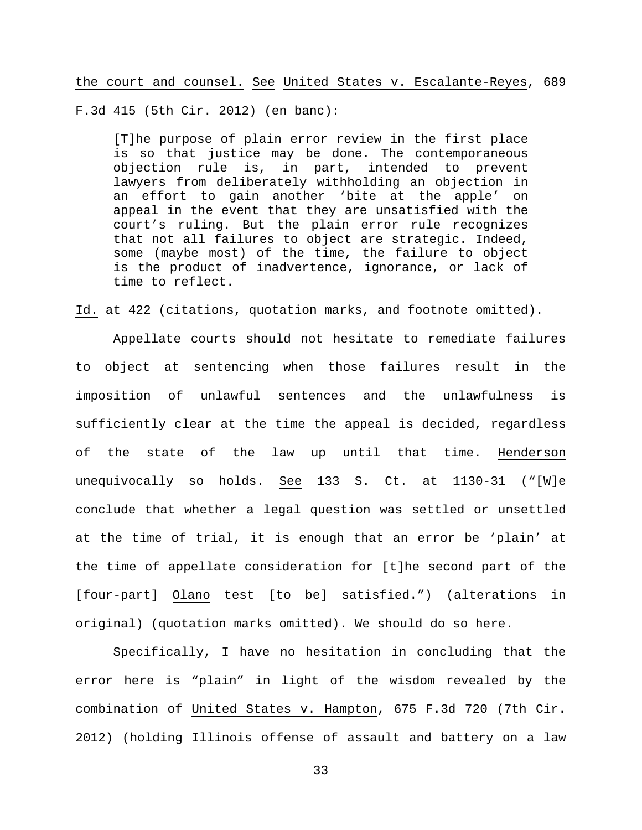the court and counsel. See United States v. Escalante-Reyes, 689

F.3d 415 (5th Cir. 2012) (en banc):

[T]he purpose of plain error review in the first place is so that justice may be done. The contemporaneous objection rule is, in part, intended to prevent lawyers from deliberately withholding an objection in an effort to gain another 'bite at the apple' on appeal in the event that they are unsatisfied with the court's ruling. But the plain error rule recognizes that not all failures to object are strategic. Indeed, some (maybe most) of the time, the failure to object is the product of inadvertence, ignorance, or lack of time to reflect.

Id. at 422 (citations, quotation marks, and footnote omitted).

Appellate courts should not hesitate to remediate failures to object at sentencing when those failures result in the imposition of unlawful sentences and the unlawfulness is sufficiently clear at the time the appeal is decided, regardless of the state of the law up until that time. Henderson unequivocally so holds. See 133 S. Ct. at 1130-31 ("[W]e conclude that whether a legal question was settled or unsettled at the time of trial, it is enough that an error be 'plain' at the time of appellate consideration for [t]he second part of the [four-part] Olano test [to be] satisfied.") (alterations in original) (quotation marks omitted). We should do so here.

Specifically, I have no hesitation in concluding that the error here is "plain" in light of the wisdom revealed by the combination of United States v. Hampton, 675 F.3d 720 (7th Cir. 2012) (holding Illinois offense of assault and battery on a law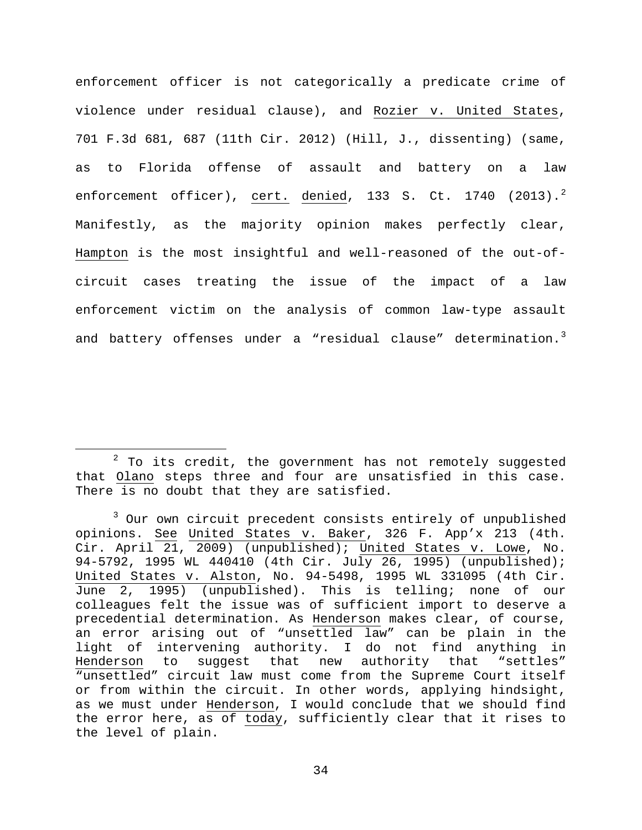enforcement officer is not categorically a predicate crime of violence under residual clause), and Rozier v. United States, 701 F.3d 681, 687 (11th Cir. 2012) (Hill, J., dissenting) (same, as to Florida offense of assault and battery on a law enforcement officer), cert. denied, 133 S. Ct. 1740 ([2](#page-33-0)013).<sup>2</sup> Manifestly, as the majority opinion makes perfectly clear, Hampton is the most insightful and well-reasoned of the out-ofcircuit cases treating the issue of the impact of a law enforcement victim on the analysis of common law-type assault and battery offenses under a "residual clause" determination.<sup>[3](#page-33-1)</sup>

<span id="page-33-0"></span> $2$  To its credit, the government has not remotely suggested that Olano steps three and four are unsatisfied in this case. There is no doubt that they are satisfied.

<span id="page-33-1"></span><sup>&</sup>lt;sup>3</sup> Our own circuit precedent consists entirely of unpublished opinions. See United States v. Baker, 326 F. App'x 213 (4th. Cir. April  $\overline{21}$ ,  $\overline{2009}$  (unpublished); United States v. Lowe, No. 94-5792, 1995 WL 440410 (4th Cir. July 26, 1995) (unpublished); United States v. Alston, No. 94-5498, 1995 WL 331095 (4th Cir. June 2, 1995) (unpublished). This is telling; none of our colleagues felt the issue was of sufficient import to deserve a precedential determination. As Henderson makes clear, of course, an error arising out of "unsettled law" can be plain in the light of intervening authority. I do not find anything in Henderson to suggest that new authority that "settles" "unsettled" circuit law must come from the Supreme Court itself or from within the circuit. In other words, applying hindsight, as we must under Henderson, I would conclude that we should find the error here, as of today, sufficiently clear that it rises to the level of plain.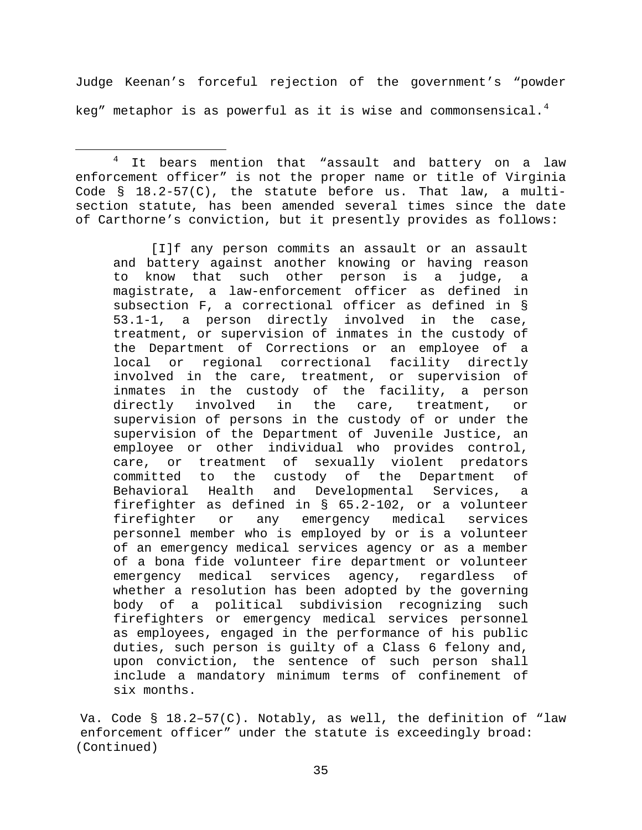Judge Keenan's forceful rejection of the government's "powder keg" metaphor is as powerful as it is wise and commonsensical. $4$ 

<span id="page-34-0"></span><sup>4</sup> It bears mention that "assault and battery on a law enforcement officer" is not the proper name or title of Virginia Code  $\S$  18.2-57(C), the statute before us. That law, a multisection statute, has been amended several times since the date of Carthorne's conviction, but it presently provides as follows:

[I]f any person commits an assault or an assault and battery against another knowing or having reason<br>to know that such other person is a judge, a to know that such other person is a judge, a magistrate, a law-enforcement officer as defined in subsection F, a correctional officer as defined in § 53.1-1, a person directly involved in the case, treatment, or supervision of inmates in the custody of the Department of Corrections or an employee of a local or regional correctional facility directly involved in the care, treatment, or supervision of inmates in the custody of the facility, a person<br>directly involved in the care, treatment, or directly involved in the care, treatment, or supervision of persons in the custody of or under the supervision of the Department of Juvenile Justice, an employee or other individual who provides control, care, or treatment of sexually violent predators<br>committed to the custody of the Department of custody of the Department of<br>and Developmental Services, a Behavioral Health and Developmental Services, a firefighter as defined in § 65.2-102, or a volunteer firefighter or any emergency medical services personnel member who is employed by or is a volunteer of an emergency medical services agency or as a member of a bona fide volunteer fire department or volunteer<br>emergency medical services agency, regardless of emergency medical services whether a resolution has been adopted by the governing body of a political subdivision recognizing such firefighters or emergency medical services personnel as employees, engaged in the performance of his public duties, such person is guilty of a Class 6 felony and, upon conviction, the sentence of such person shall include a mandatory minimum terms of confinement of six months.

Va. Code § 18.2–57(C). Notably, as well, the definition of "law enforcement officer" under the statute is exceedingly broad: (Continued)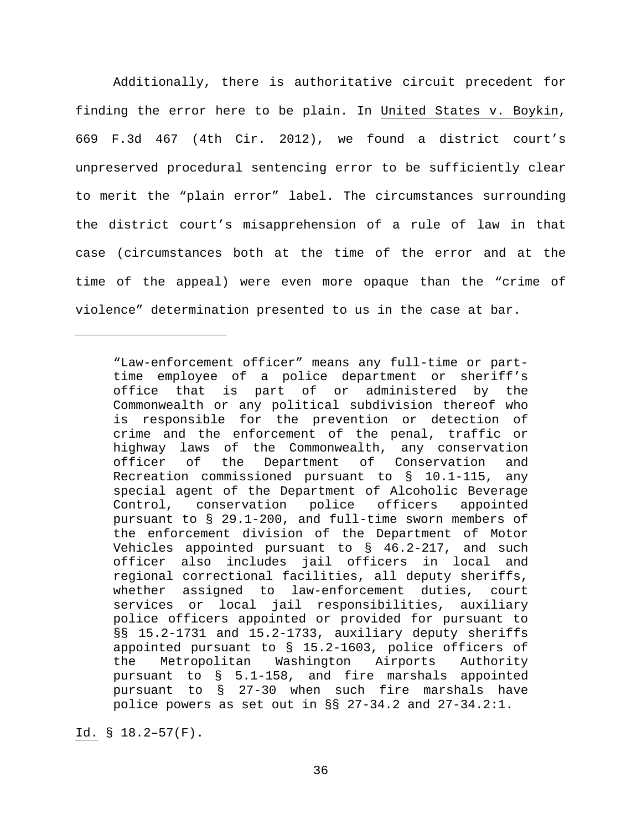Additionally, there is authoritative circuit precedent for finding the error here to be plain. In United States v. Boykin, 669 F.3d 467 (4th Cir. 2012), we found a district court's unpreserved procedural sentencing error to be sufficiently clear to merit the "plain error" label. The circumstances surrounding the district court's misapprehension of a rule of law in that case (circumstances both at the time of the error and at the time of the appeal) were even more opaque than the "crime of violence" determination presented to us in the case at bar.

ī

<sup>&</sup>quot;Law-enforcement officer" means any full-time or parttime employee of a police department or sheriff's office that is part of or administered by the Commonwealth or any political subdivision thereof who is responsible for the prevention or detection of crime and the enforcement of the penal, traffic or highway laws of the Commonwealth, any conservation<br>officer of the Department of Conservation and the Department of Conservation and Recreation commissioned pursuant to § 10.1-115, any special agent of the Department of Alcoholic Beverage Control, conservation police officers appointed pursuant to § 29.1-200, and full-time sworn members of the enforcement division of the Department of Motor Vehicles appointed pursuant to § 46.2-217, and such officer also includes jail officers in local and regional correctional facilities, all deputy sheriffs, whether assigned to law-enforcement duties, court services or local jail responsibilities, auxiliary police officers appointed or provided for pursuant to §§ 15.2-1731 and 15.2-1733, auxiliary deputy sheriffs appointed pursuant to § 15.2-1603, police officers of the Metropolitan Washington Airports Authority pursuant to § 5.1-158, and fire marshals appointed pursuant to § 27-30 when such fire marshals have police powers as set out in §§ 27-34.2 and 27-34.2:1.

Id. § 18.2–57(F).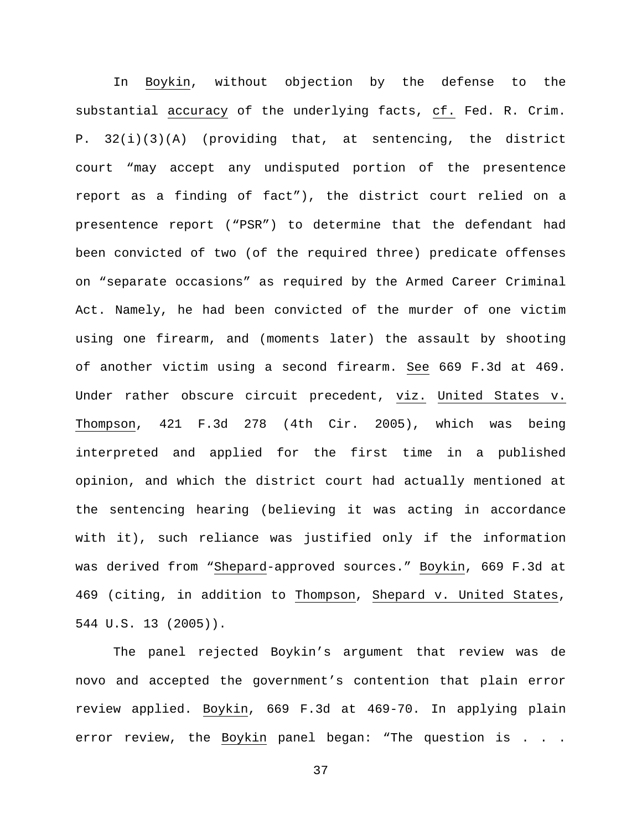In Boykin, without objection by the defense to the substantial accuracy of the underlying facts, cf. Fed. R. Crim. P. 32(i)(3)(A) (providing that, at sentencing, the district court "may accept any undisputed portion of the presentence report as a finding of fact"), the district court relied on a presentence report ("PSR") to determine that the defendant had been convicted of two (of the required three) predicate offenses on "separate occasions" as required by the Armed Career Criminal Act. Namely, he had been convicted of the murder of one victim using one firearm, and (moments later) the assault by shooting of another victim using a second firearm. See 669 F.3d at 469. Under rather obscure circuit precedent, viz. United States v. Thompson, 421 F.3d 278 (4th Cir. 2005), which was being interpreted and applied for the first time in a published opinion, and which the district court had actually mentioned at the sentencing hearing (believing it was acting in accordance with it), such reliance was justified only if the information was derived from "Shepard-approved sources." Boykin, 669 F.3d at 469 (citing, in addition to Thompson, Shepard v. United States, 544 U.S. 13 (2005)).

The panel rejected Boykin's argument that review was de novo and accepted the government's contention that plain error review applied. Boykin, 669 F.3d at 469-70. In applying plain error review, the Boykin panel began: "The question is . . .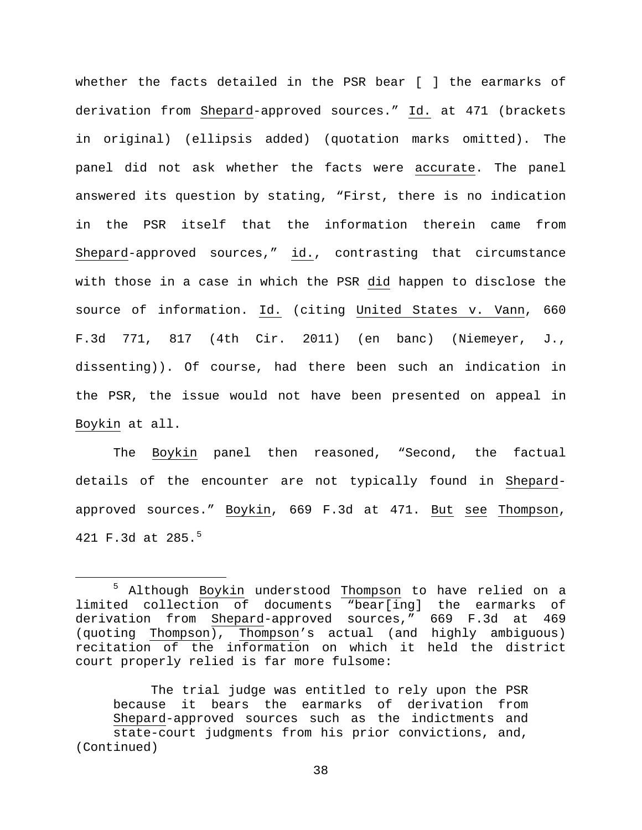whether the facts detailed in the PSR bear [ ] the earmarks of derivation from Shepard-approved sources." Id. at 471 (brackets in original) (ellipsis added) (quotation marks omitted). The panel did not ask whether the facts were accurate. The panel answered its question by stating, "First, there is no indication in the PSR itself that the information therein came from Shepard-approved sources," id., contrasting that circumstance with those in a case in which the PSR did happen to disclose the source of information. Id. (citing United States v. Vann, 660 F.3d 771, 817 (4th Cir. 2011) (en banc) (Niemeyer, J., dissenting)). Of course, had there been such an indication in the PSR, the issue would not have been presented on appeal in Boykin at all.

The Boykin panel then reasoned, "Second, the factual details of the encounter are not typically found in Shepardapproved sources." Boykin, 669 F.3d at 471. But see Thompson, 421 F.3d at 28[5](#page-37-0).<sup>5</sup>

The trial judge was entitled to rely upon the PSR because it bears the earmarks of derivation from Shepard-approved sources such as the indictments and state-court judgments from his prior convictions, and, (Continued)

<span id="page-37-0"></span><sup>&</sup>lt;sup>5</sup> Although Boykin understood Thompson to have relied on a limited collection of documents "bear[ing] the earmarks of derivation from Shepard-approved sources," 669 F.3d at 469 (quoting Thompson), Thompson's actual (and highly ambiguous) recitation of the information on which it held the district court properly relied is far more fulsome: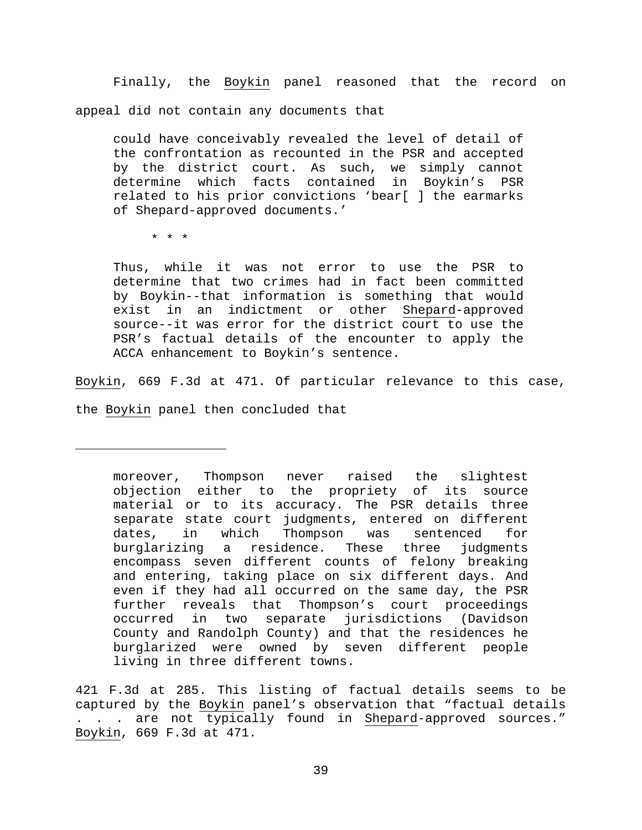Finally, the Boykin panel reasoned that the record on appeal did not contain any documents that

could have conceivably revealed the level of detail of the confrontation as recounted in the PSR and accepted by the district court. As such, we simply cannot determine which facts contained in Boykin's PSR related to his prior convictions 'bear[ ] the earmarks of Shepard-approved documents.'

\* \* \*

ī

Thus, while it was not error to use the PSR to determine that two crimes had in fact been committed by Boykin--that information is something that would exist in an indictment or other Shepard-approved source--it was error for the district court to use the PSR's factual details of the encounter to apply the ACCA enhancement to Boykin's sentence.

Boykin, 669 F.3d at 471. Of particular relevance to this case,

the Boykin panel then concluded that

moreover, Thompson never raised the slightest objection either to the propriety of its source material or to its accuracy. The PSR details three separate state court judgments, entered on different dates, in which Thompson was sentenced for<br>burglarizing a residence. These three judgments residence. These three encompass seven different counts of felony breaking and entering, taking place on six different days. And even if they had all occurred on the same day, the PSR further reveals that Thompson's court proceedings occurred in two separate jurisdictions (Davidson County and Randolph County) and that the residences he burglarized were owned by seven different people living in three different towns.

421 F.3d at 285. This listing of factual details seems to be captured by the Boykin panel's observation that "factual details . are not typically found in Shepard-approved sources." Boykin, 669 F.3d at 471.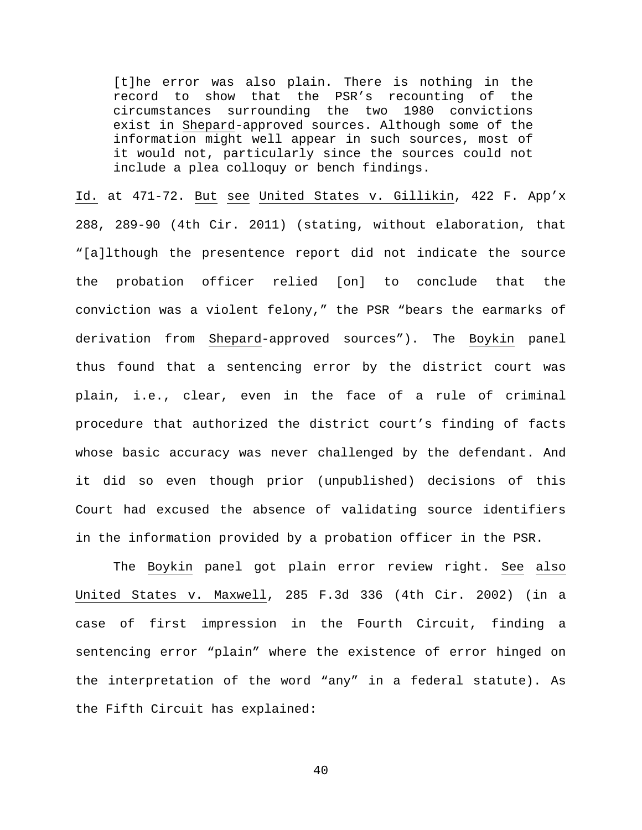[t]he error was also plain. There is nothing in the record to show that the PSR's recounting of the circumstances surrounding the two 1980 convictions exist in Shepard-approved sources. Although some of the information might well appear in such sources, most of it would not, particularly since the sources could not include a plea colloquy or bench findings.

Id. at 471-72. But see United States v. Gillikin, 422 F. App'x 288, 289-90 (4th Cir. 2011) (stating, without elaboration, that "[a]lthough the presentence report did not indicate the source the probation officer relied [on] to conclude that the conviction was a violent felony," the PSR "bears the earmarks of derivation from Shepard-approved sources"). The Boykin panel thus found that a sentencing error by the district court was plain, i.e., clear, even in the face of a rule of criminal procedure that authorized the district court's finding of facts whose basic accuracy was never challenged by the defendant. And it did so even though prior (unpublished) decisions of this Court had excused the absence of validating source identifiers in the information provided by a probation officer in the PSR.

The Boykin panel got plain error review right. See also United States v. Maxwell, 285 F.3d 336 (4th Cir. 2002) (in a case of first impression in the Fourth Circuit, finding a sentencing error "plain" where the existence of error hinged on the interpretation of the word "any" in a federal statute). As the Fifth Circuit has explained: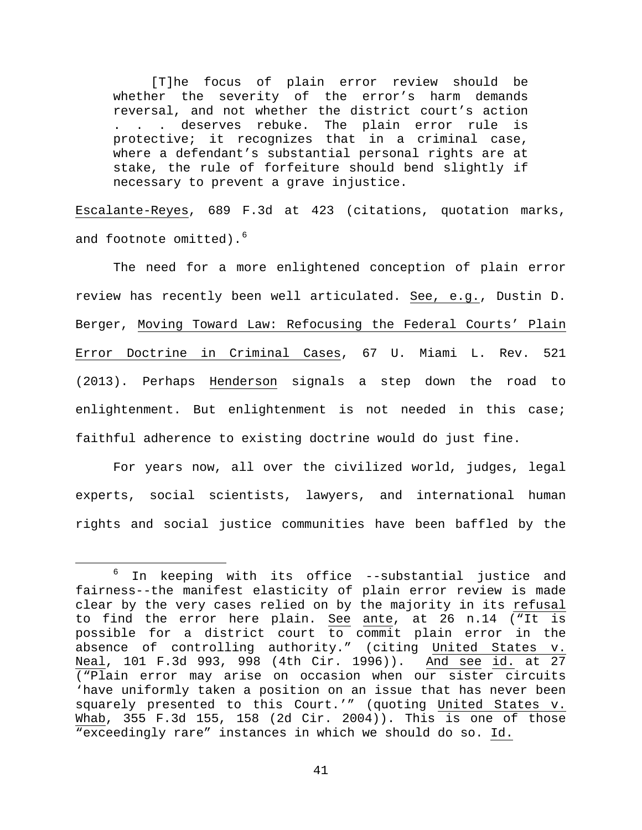[T]he focus of plain error review should be whether the severity of the error's harm demands reversal, and not whether the district court's action . . . deserves rebuke. The plain error rule is protective; it recognizes that in a criminal case, where a defendant's substantial personal rights are at stake, the rule of forfeiture should bend slightly if necessary to prevent a grave injustice.

Escalante-Reyes, 689 F.3d at 423 (citations, quotation marks, and footnote omitted).<sup>[6](#page-40-0)</sup>

The need for a more enlightened conception of plain error review has recently been well articulated. See, e.g., Dustin D. Berger, Moving Toward Law: Refocusing the Federal Courts' Plain Error Doctrine in Criminal Cases, 67 U. Miami L. Rev. 521 (2013). Perhaps Henderson signals a step down the road to enlightenment. But enlightenment is not needed in this case; faithful adherence to existing doctrine would do just fine.

For years now, all over the civilized world, judges, legal experts, social scientists, lawyers, and international human rights and social justice communities have been baffled by the

<span id="page-40-0"></span> $6$  In keeping with its office --substantial justice and fairness--the manifest elasticity of plain error review is made clear by the very cases relied on by the majority in its refusal to find the error here plain. See ante, at 26 n.14 ("It is possible for a district court to commit plain error in the absence of controlling authority." (citing United States v. Neal, 101 F.3d 993, 998 (4th Cir. 1996)). And see id. at 27 ("Plain error may arise on occasion when our sister circuits 'have uniformly taken a position on an issue that has never been squarely presented to this Court.'" (quoting United States v. Whab, 355 F.3d 155, 158 (2d Cir. 2004)). This is one of those "exceedingly rare" instances in which we should do so. Id.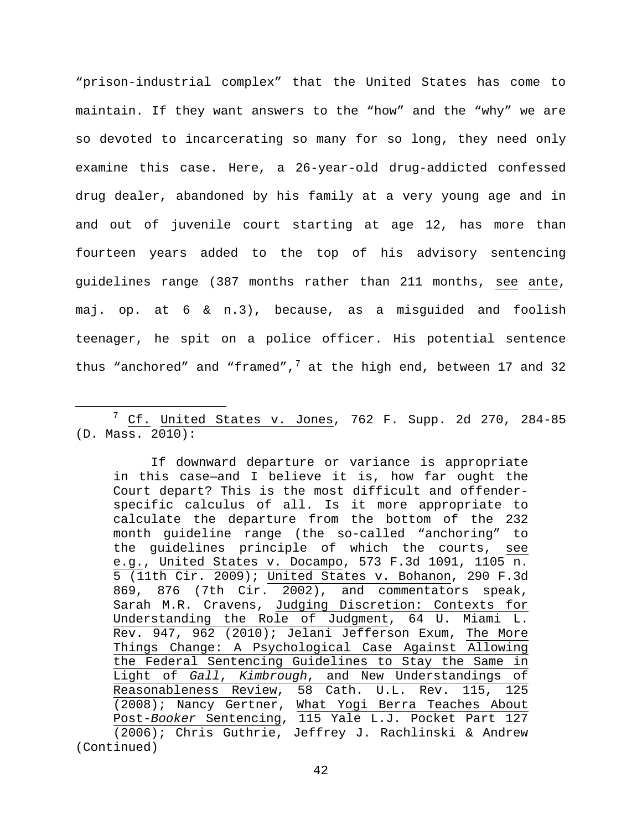"prison-industrial complex" that the United States has come to maintain. If they want answers to the "how" and the "why" we are so devoted to incarcerating so many for so long, they need only examine this case. Here, a 26-year-old drug-addicted confessed drug dealer, abandoned by his family at a very young age and in and out of juvenile court starting at age 12, has more than fourteen years added to the top of his advisory sentencing guidelines range (387 months rather than 211 months, see ante, maj. op. at 6 & n.3), because, as a misguided and foolish teenager, he spit on a police officer. His potential sentence thus "anchored" and "framed", $7$  at the high end, between 17 and 32

If downward departure or variance is appropriate in this case—and I believe it is, how far ought the Court depart? This is the most difficult and offenderspecific calculus of all. Is it more appropriate to calculate the departure from the bottom of the 232 month guideline range (the so-called "anchoring" to the guidelines principle of which the courts, see e.g., United States v. Docampo, 573 F.3d 1091, 1105 n. 5 (11th Cir. 2009); United States v. Bohanon, 290 F.3d 869, 876 (7th Cir. 2002), and commentators speak, Sarah M.R. Cravens, Judging Discretion: Contexts for Understanding the Role of Judgment, 64 U. Miami L. Rev. 947, 962 (2010); Jelani Jefferson Exum, The More Things Change: A Psychological Case Against Allowing the Federal Sentencing Guidelines to Stay the Same in Light of *Gall*, *Kimbrough*, and New Understandings of Reasonableness Review, 58 Cath. U.L. Rev. 115, 125 (2008); Nancy Gertner, What Yogi Berra Teaches About Post-*Booker* Sentencing, 115 Yale L.J. Pocket Part 127 (2006); Chris Guthrie, Jeffrey J. Rachlinski & Andrew (Continued)

<span id="page-41-0"></span> <sup>7</sup> Cf. United States v. Jones, 762 F. Supp. 2d 270, 284-85 (D. Mass. 2010):